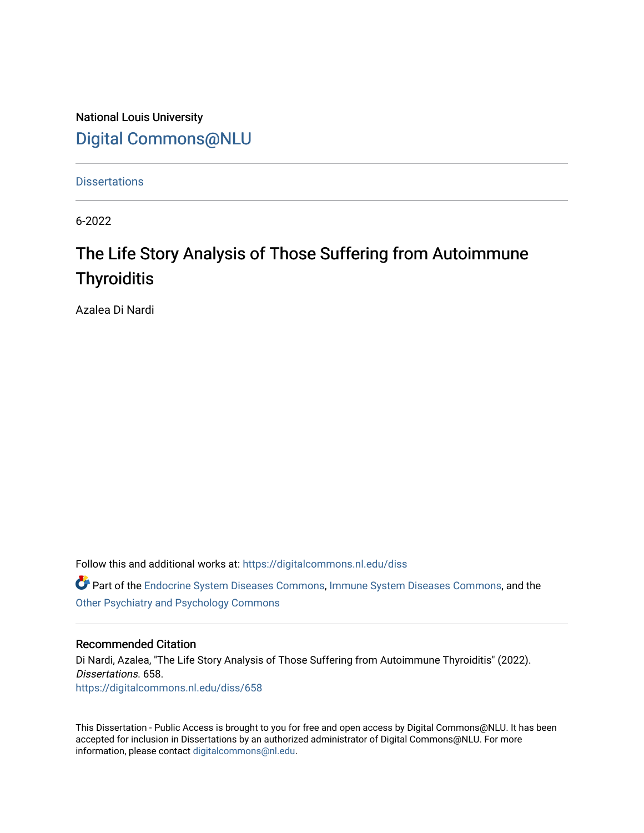National Louis University [Digital Commons@NLU](https://digitalcommons.nl.edu/)

**Dissertations** 

6-2022

# The Life Story Analysis of Those Suffering from Autoimmune **Thyroiditis**

Azalea Di Nardi

Follow this and additional works at: [https://digitalcommons.nl.edu/diss](https://digitalcommons.nl.edu/diss?utm_source=digitalcommons.nl.edu%2Fdiss%2F658&utm_medium=PDF&utm_campaign=PDFCoverPages) 

Part of the [Endocrine System Diseases Commons,](https://network.bepress.com/hgg/discipline/969?utm_source=digitalcommons.nl.edu%2Fdiss%2F658&utm_medium=PDF&utm_campaign=PDFCoverPages) [Immune System Diseases Commons](https://network.bepress.com/hgg/discipline/933?utm_source=digitalcommons.nl.edu%2Fdiss%2F658&utm_medium=PDF&utm_campaign=PDFCoverPages), and the [Other Psychiatry and Psychology Commons](https://network.bepress.com/hgg/discipline/992?utm_source=digitalcommons.nl.edu%2Fdiss%2F658&utm_medium=PDF&utm_campaign=PDFCoverPages)

#### Recommended Citation

Di Nardi, Azalea, "The Life Story Analysis of Those Suffering from Autoimmune Thyroiditis" (2022). Dissertations. 658. [https://digitalcommons.nl.edu/diss/658](https://digitalcommons.nl.edu/diss/658?utm_source=digitalcommons.nl.edu%2Fdiss%2F658&utm_medium=PDF&utm_campaign=PDFCoverPages) 

This Dissertation - Public Access is brought to you for free and open access by Digital Commons@NLU. It has been accepted for inclusion in Dissertations by an authorized administrator of Digital Commons@NLU. For more information, please contact [digitalcommons@nl.edu.](mailto:digitalcommons@nl.edu)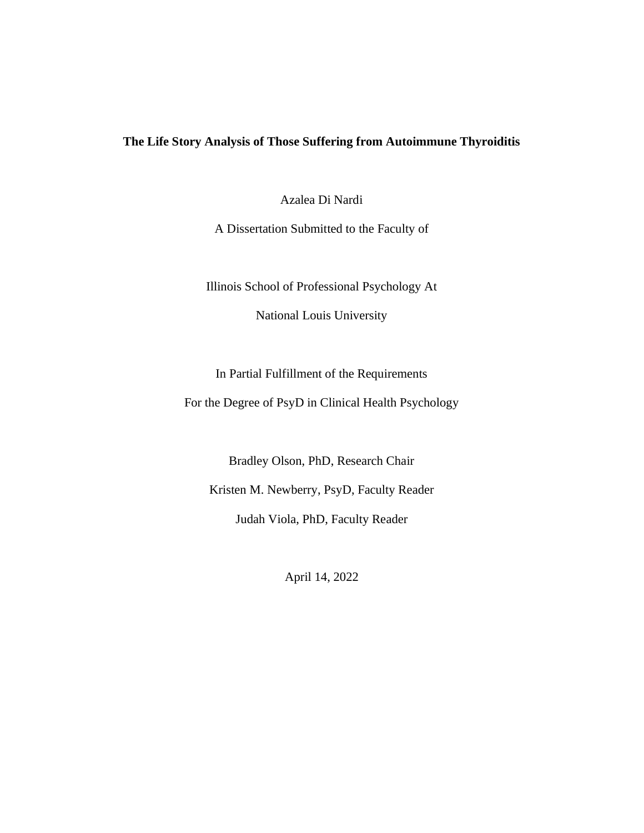# **The Life Story Analysis of Those Suffering from Autoimmune Thyroiditis**

Azalea Di Nardi

A Dissertation Submitted to the Faculty of

Illinois School of Professional Psychology At National Louis University

In Partial Fulfillment of the Requirements For the Degree of PsyD in Clinical Health Psychology

Bradley Olson, PhD, Research Chair Kristen M. Newberry, PsyD, Faculty Reader Judah Viola, PhD, Faculty Reader

April 14, 2022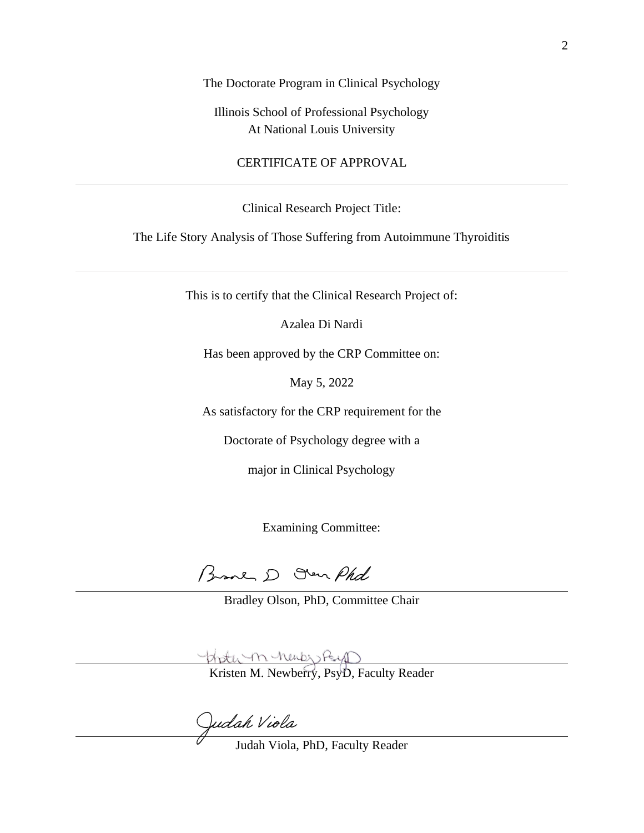The Doctorate Program in Clinical Psychology

Illinois School of Professional Psychology At National Louis University

# CERTIFICATE OF APPROVAL

Clinical Research Project Title:

The Life Story Analysis of Those Suffering from Autoimmune Thyroiditis

This is to certify that the Clinical Research Project of:

Azalea Di Nardi

Has been approved by the CRP Committee on:

May 5, 2022

As satisfactory for the CRP requirement for the

Doctorate of Psychology degree with a

major in Clinical Psychology

Examining Committee:

Branch D Oven Phd

Bradley Olson, PhD, Committee Chair

Kristen M. Newberry, PsyD, Faculty Reader

Judah Viola

Judah Viola, PhD, Faculty Reader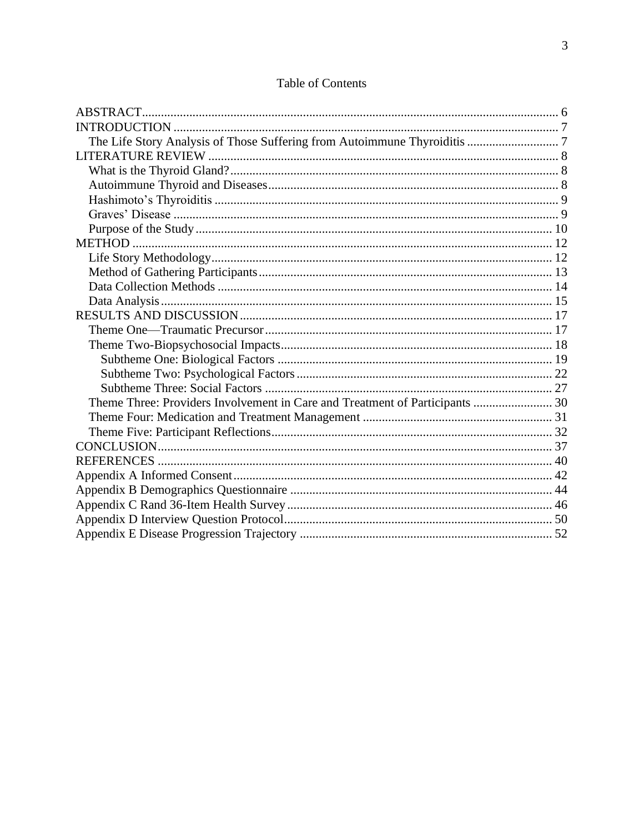| Theme Three: Providers Involvement in Care and Treatment of Participants  30 |  |
|------------------------------------------------------------------------------|--|
|                                                                              |  |
|                                                                              |  |
|                                                                              |  |
|                                                                              |  |
|                                                                              |  |
|                                                                              |  |
|                                                                              |  |
|                                                                              |  |
|                                                                              |  |

# Table of Contents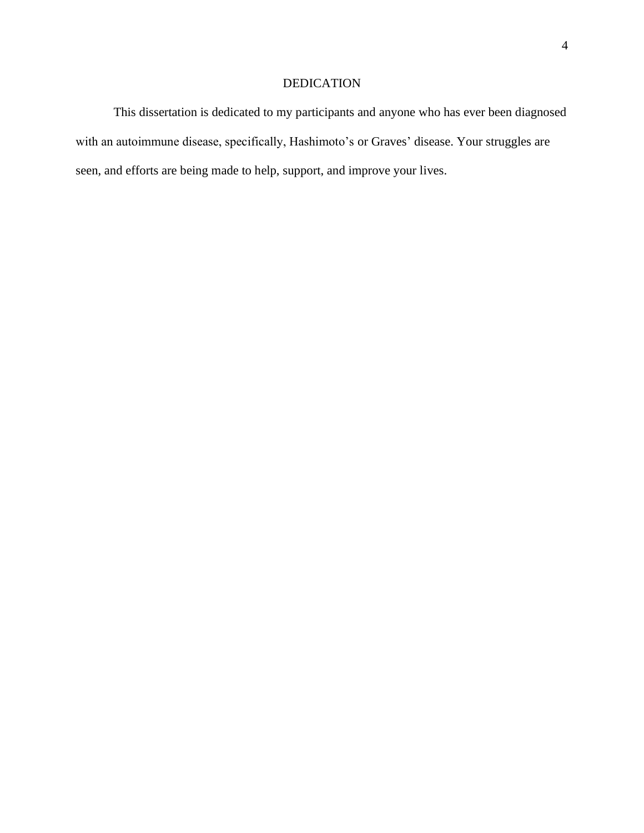# DEDICATION

This dissertation is dedicated to my participants and anyone who has ever been diagnosed with an autoimmune disease, specifically, Hashimoto's or Graves' disease. Your struggles are seen, and efforts are being made to help, support, and improve your lives.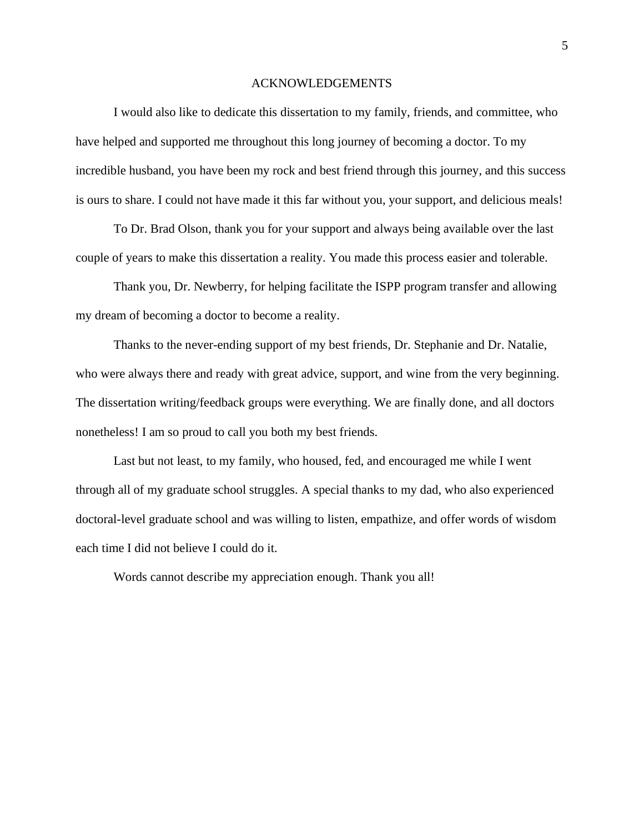#### ACKNOWLEDGEMENTS

I would also like to dedicate this dissertation to my family, friends, and committee, who have helped and supported me throughout this long journey of becoming a doctor. To my incredible husband, you have been my rock and best friend through this journey, and this success is ours to share. I could not have made it this far without you, your support, and delicious meals!

To Dr. Brad Olson, thank you for your support and always being available over the last couple of years to make this dissertation a reality. You made this process easier and tolerable.

Thank you, Dr. Newberry, for helping facilitate the ISPP program transfer and allowing my dream of becoming a doctor to become a reality.

Thanks to the never-ending support of my best friends, Dr. Stephanie and Dr. Natalie, who were always there and ready with great advice, support, and wine from the very beginning. The dissertation writing/feedback groups were everything. We are finally done, and all doctors nonetheless! I am so proud to call you both my best friends.

Last but not least, to my family, who housed, fed, and encouraged me while I went through all of my graduate school struggles. A special thanks to my dad, who also experienced doctoral-level graduate school and was willing to listen, empathize, and offer words of wisdom each time I did not believe I could do it.

Words cannot describe my appreciation enough. Thank you all!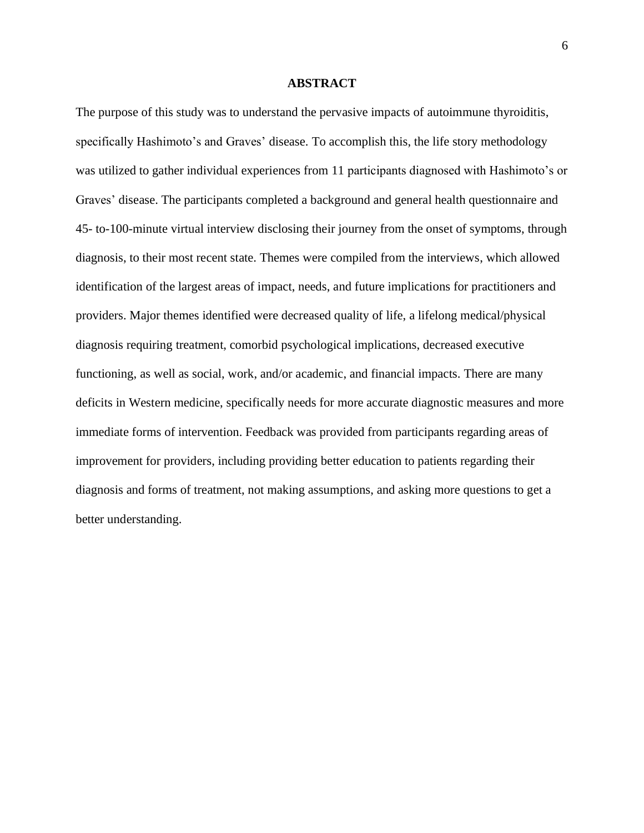#### **ABSTRACT**

The purpose of this study was to understand the pervasive impacts of autoimmune thyroiditis, specifically Hashimoto's and Graves' disease. To accomplish this, the life story methodology was utilized to gather individual experiences from 11 participants diagnosed with Hashimoto's or Graves' disease. The participants completed a background and general health questionnaire and 45- to-100-minute virtual interview disclosing their journey from the onset of symptoms, through diagnosis, to their most recent state. Themes were compiled from the interviews, which allowed identification of the largest areas of impact, needs, and future implications for practitioners and providers. Major themes identified were decreased quality of life, a lifelong medical/physical diagnosis requiring treatment, comorbid psychological implications, decreased executive functioning, as well as social, work, and/or academic, and financial impacts. There are many deficits in Western medicine, specifically needs for more accurate diagnostic measures and more immediate forms of intervention. Feedback was provided from participants regarding areas of improvement for providers, including providing better education to patients regarding their diagnosis and forms of treatment, not making assumptions, and asking more questions to get a better understanding.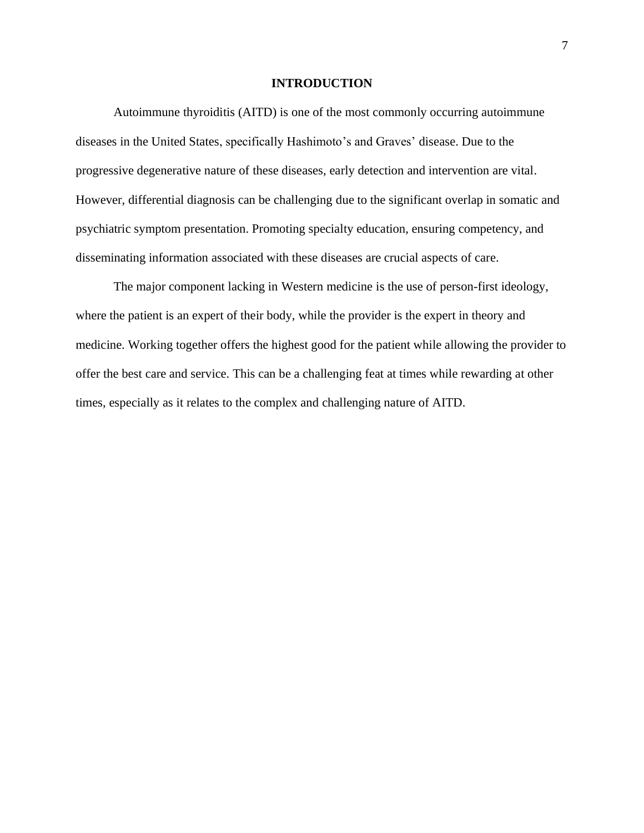#### **INTRODUCTION**

Autoimmune thyroiditis (AITD) is one of the most commonly occurring autoimmune diseases in the United States, specifically Hashimoto's and Graves' disease. Due to the progressive degenerative nature of these diseases, early detection and intervention are vital. However, differential diagnosis can be challenging due to the significant overlap in somatic and psychiatric symptom presentation. Promoting specialty education, ensuring competency, and disseminating information associated with these diseases are crucial aspects of care.

The major component lacking in Western medicine is the use of person-first ideology, where the patient is an expert of their body, while the provider is the expert in theory and medicine. Working together offers the highest good for the patient while allowing the provider to offer the best care and service. This can be a challenging feat at times while rewarding at other times, especially as it relates to the complex and challenging nature of AITD.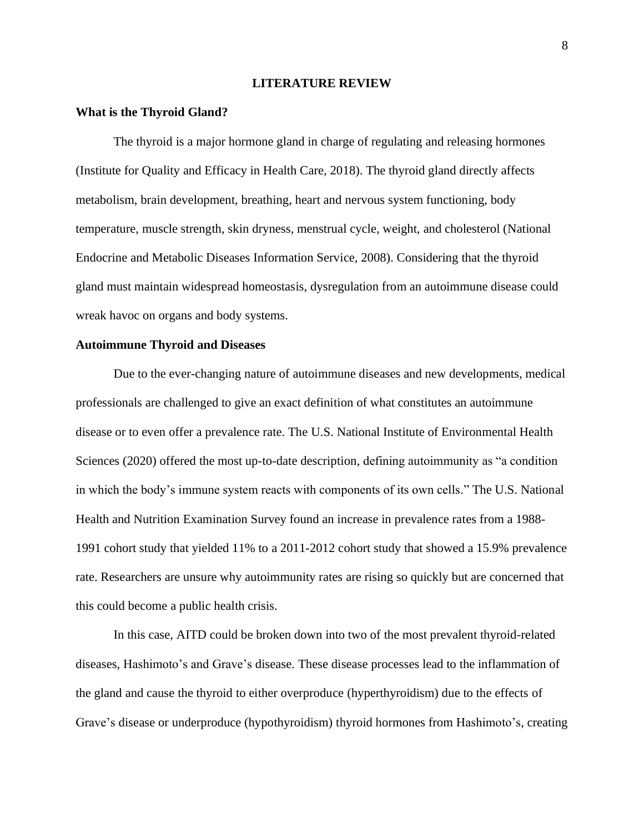#### **LITERATURE REVIEW**

#### **What is the Thyroid Gland?**

The thyroid is a major hormone gland in charge of regulating and releasing hormones (Institute for Quality and Efficacy in Health Care, 2018). The thyroid gland directly affects metabolism, brain development, breathing, heart and nervous system functioning, body temperature, muscle strength, skin dryness, menstrual cycle, weight, and cholesterol (National Endocrine and Metabolic Diseases Information Service, 2008). Considering that the thyroid gland must maintain widespread homeostasis, dysregulation from an autoimmune disease could wreak havoc on organs and body systems.

#### **Autoimmune Thyroid and Diseases**

Due to the ever-changing nature of autoimmune diseases and new developments, medical professionals are challenged to give an exact definition of what constitutes an autoimmune disease or to even offer a prevalence rate. The U.S. National Institute of Environmental Health Sciences (2020) offered the most up-to-date description, defining autoimmunity as "a condition in which the body's immune system reacts with components of its own cells." The U.S. National Health and Nutrition Examination Survey found an increase in prevalence rates from a 1988- 1991 cohort study that yielded 11% to a 2011-2012 cohort study that showed a 15.9% prevalence rate. Researchers are unsure why autoimmunity rates are rising so quickly but are concerned that this could become a public health crisis.

In this case, AITD could be broken down into two of the most prevalent thyroid-related diseases, Hashimoto's and Grave's disease. These disease processes lead to the inflammation of the gland and cause the thyroid to either overproduce (hyperthyroidism) due to the effects of Grave's disease or underproduce (hypothyroidism) thyroid hormones from Hashimoto's, creating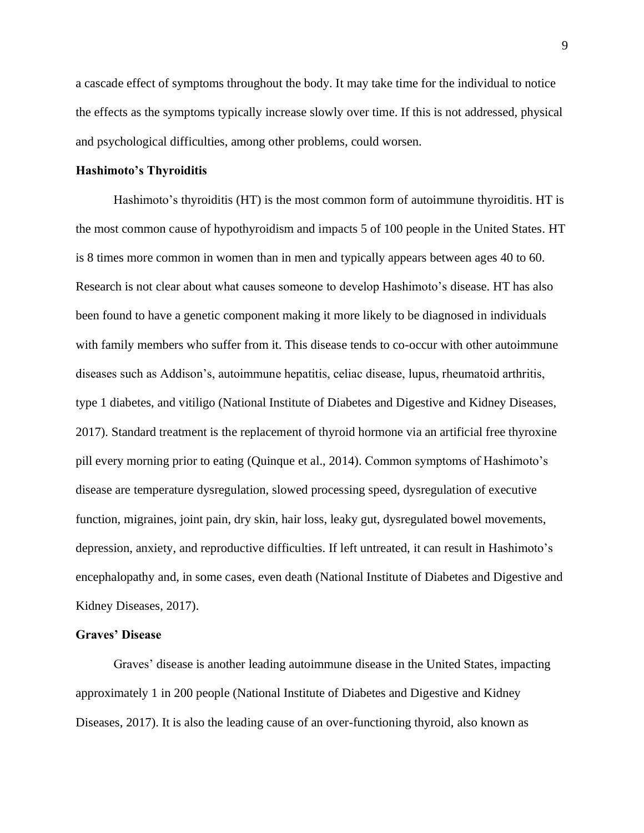a cascade effect of symptoms throughout the body. It may take time for the individual to notice the effects as the symptoms typically increase slowly over time. If this is not addressed, physical and psychological difficulties, among other problems, could worsen.

#### **Hashimoto's Thyroiditis**

Hashimoto's thyroiditis (HT) is the most common form of autoimmune thyroiditis. HT is the most common cause of hypothyroidism and impacts 5 of 100 people in the United States. HT is 8 times more common in women than in men and typically appears between ages 40 to 60. Research is not clear about what causes someone to develop Hashimoto's disease. HT has also been found to have a genetic component making it more likely to be diagnosed in individuals with family members who suffer from it. This disease tends to co-occur with other autoimmune diseases such as Addison's, autoimmune hepatitis, celiac disease, lupus, rheumatoid arthritis, type 1 diabetes, and vitiligo (National Institute of Diabetes and Digestive and Kidney Diseases, 2017). Standard treatment is the replacement of thyroid hormone via an artificial free thyroxine pill every morning prior to eating (Quinque et al., 2014). Common symptoms of Hashimoto's disease are temperature dysregulation, slowed processing speed, dysregulation of executive function, migraines, joint pain, dry skin, hair loss, leaky gut, dysregulated bowel movements, depression, anxiety, and reproductive difficulties. If left untreated, it can result in Hashimoto's encephalopathy and, in some cases, even death (National Institute of Diabetes and Digestive and Kidney Diseases, 2017).

#### **Graves' Disease**

Graves' disease is another leading autoimmune disease in the United States, impacting approximately 1 in 200 people (National Institute of Diabetes and Digestive and Kidney Diseases, 2017). It is also the leading cause of an over-functioning thyroid, also known as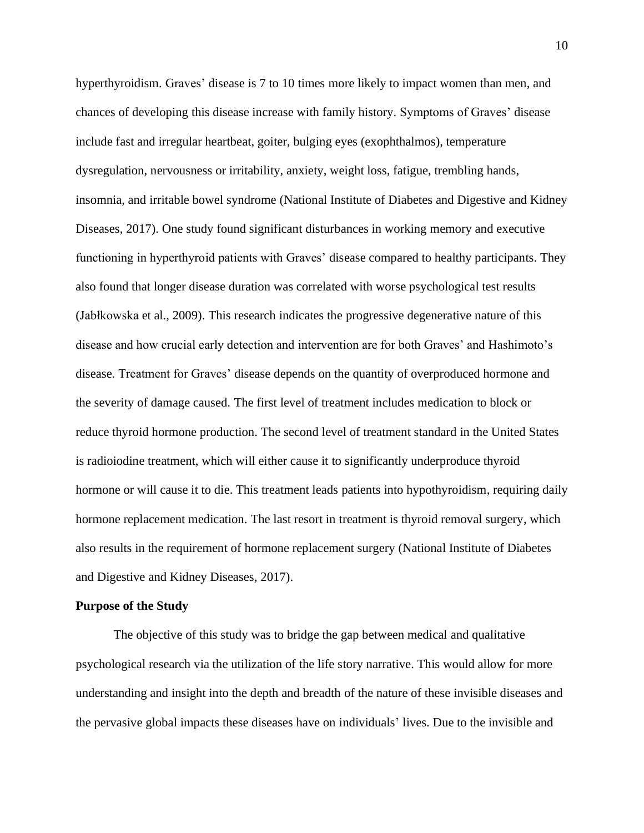hyperthyroidism. Graves' disease is 7 to 10 times more likely to impact women than men, and chances of developing this disease increase with family history. Symptoms of Graves' disease include fast and irregular heartbeat, goiter, bulging eyes (exophthalmos), temperature dysregulation, nervousness or irritability, anxiety, weight loss, fatigue, trembling hands, insomnia, and irritable bowel syndrome (National Institute of Diabetes and Digestive and Kidney Diseases, 2017). One study found significant disturbances in working memory and executive functioning in hyperthyroid patients with Graves' disease compared to healthy participants. They also found that longer disease duration was correlated with worse psychological test results (Jabłkowska et al., 2009). This research indicates the progressive degenerative nature of this disease and how crucial early detection and intervention are for both Graves' and Hashimoto's disease. Treatment for Graves' disease depends on the quantity of overproduced hormone and the severity of damage caused. The first level of treatment includes medication to block or reduce thyroid hormone production. The second level of treatment standard in the United States is radioiodine treatment, which will either cause it to significantly underproduce thyroid hormone or will cause it to die. This treatment leads patients into hypothyroidism, requiring daily hormone replacement medication. The last resort in treatment is thyroid removal surgery, which also results in the requirement of hormone replacement surgery (National Institute of Diabetes and Digestive and Kidney Diseases, 2017).

#### **Purpose of the Study**

The objective of this study was to bridge the gap between medical and qualitative psychological research via the utilization of the life story narrative. This would allow for more understanding and insight into the depth and breadth of the nature of these invisible diseases and the pervasive global impacts these diseases have on individuals' lives. Due to the invisible and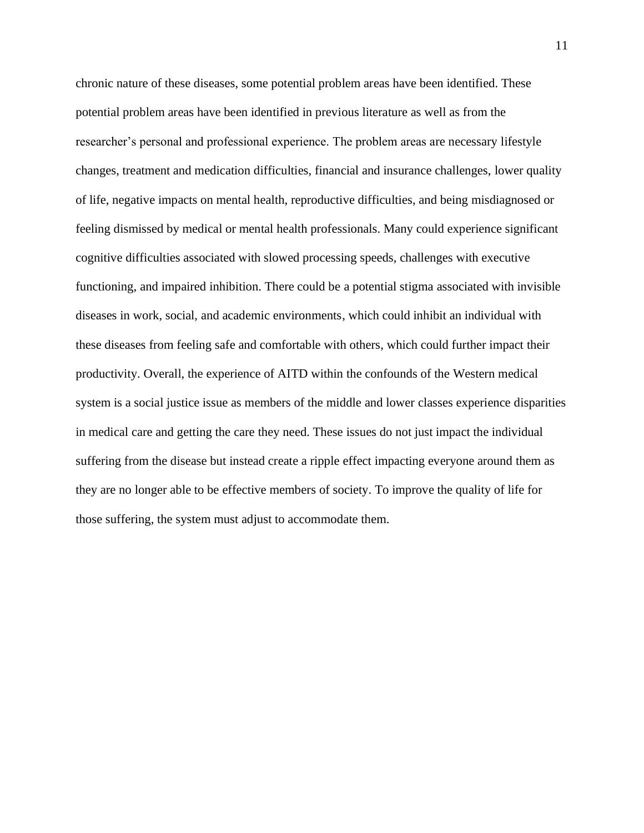chronic nature of these diseases, some potential problem areas have been identified. These potential problem areas have been identified in previous literature as well as from the researcher's personal and professional experience. The problem areas are necessary lifestyle changes, treatment and medication difficulties, financial and insurance challenges, lower quality of life, negative impacts on mental health, reproductive difficulties, and being misdiagnosed or feeling dismissed by medical or mental health professionals. Many could experience significant cognitive difficulties associated with slowed processing speeds, challenges with executive functioning, and impaired inhibition. There could be a potential stigma associated with invisible diseases in work, social, and academic environments, which could inhibit an individual with these diseases from feeling safe and comfortable with others, which could further impact their productivity. Overall, the experience of AITD within the confounds of the Western medical system is a social justice issue as members of the middle and lower classes experience disparities in medical care and getting the care they need. These issues do not just impact the individual suffering from the disease but instead create a ripple effect impacting everyone around them as they are no longer able to be effective members of society. To improve the quality of life for those suffering, the system must adjust to accommodate them.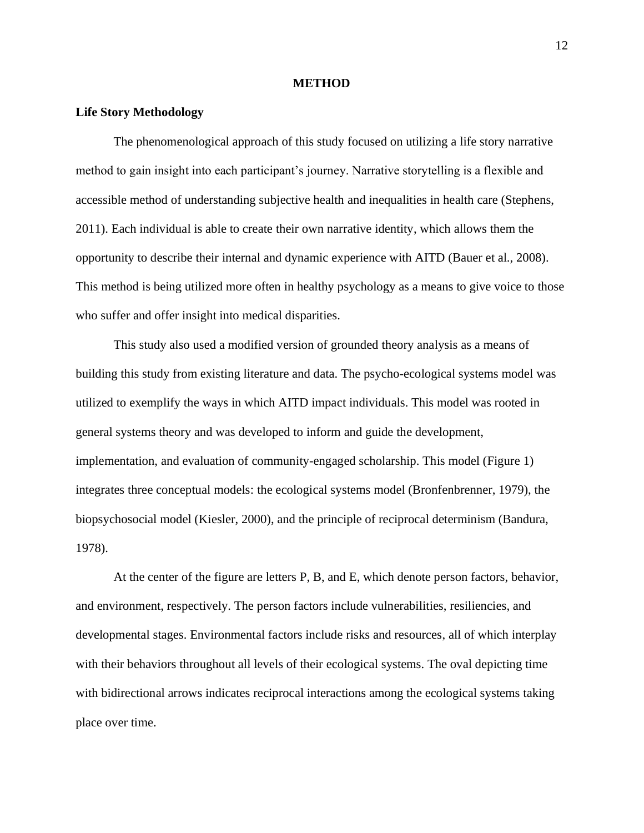#### **METHOD**

#### **Life Story Methodology**

The phenomenological approach of this study focused on utilizing a life story narrative method to gain insight into each participant's journey. Narrative storytelling is a flexible and accessible method of understanding subjective health and inequalities in health care (Stephens, 2011). Each individual is able to create their own narrative identity, which allows them the opportunity to describe their internal and dynamic experience with AITD (Bauer et al., 2008). This method is being utilized more often in healthy psychology as a means to give voice to those who suffer and offer insight into medical disparities.

This study also used a modified version of grounded theory analysis as a means of building this study from existing literature and data. The psycho-ecological systems model was utilized to exemplify the ways in which AITD impact individuals. This model was rooted in general systems theory and was developed to inform and guide the development, implementation, and evaluation of community-engaged scholarship. This model (Figure 1) integrates three conceptual models: the ecological systems model (Bronfenbrenner, 1979), the biopsychosocial model (Kiesler, 2000), and the principle of reciprocal determinism (Bandura, 1978).

At the center of the figure are letters P, B, and E, which denote person factors, behavior, and environment, respectively. The person factors include vulnerabilities, resiliencies, and developmental stages. Environmental factors include risks and resources, all of which interplay with their behaviors throughout all levels of their ecological systems. The oval depicting time with bidirectional arrows indicates reciprocal interactions among the ecological systems taking place over time.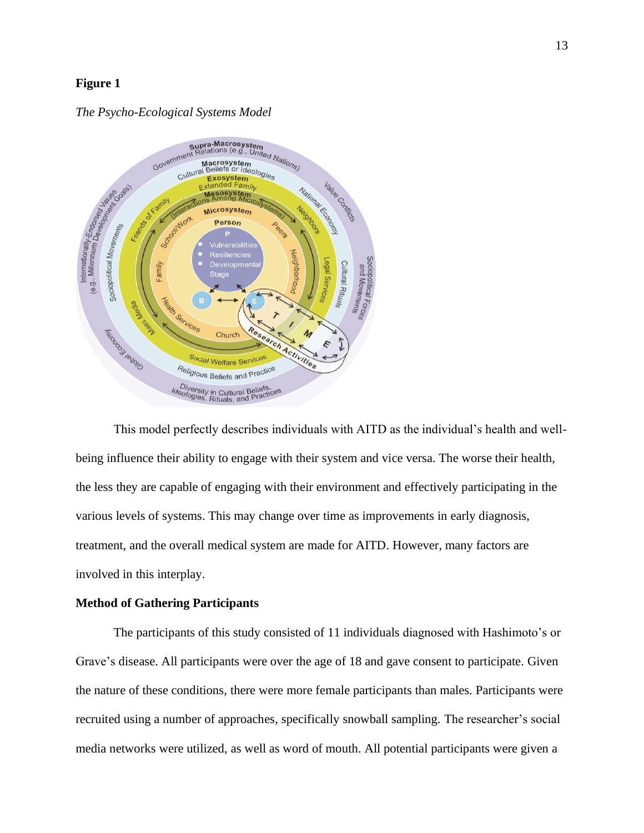# **Figure 1**



#### *The Psycho-Ecological Systems Model*

This model perfectly describes individuals with AITD as the individual's health and wellbeing influence their ability to engage with their system and vice versa. The worse their health, the less they are capable of engaging with their environment and effectively participating in the various levels of systems. This may change over time as improvements in early diagnosis, treatment, and the overall medical system are made for AITD. However, many factors are involved in this interplay.

#### **Method of Gathering Participants**

The participants of this study consisted of 11 individuals diagnosed with Hashimoto's or Grave's disease. All participants were over the age of 18 and gave consent to participate. Given the nature of these conditions, there were more female participants than males. Participants were recruited using a number of approaches, specifically snowball sampling. The researcher's social media networks were utilized, as well as word of mouth. All potential participants were given a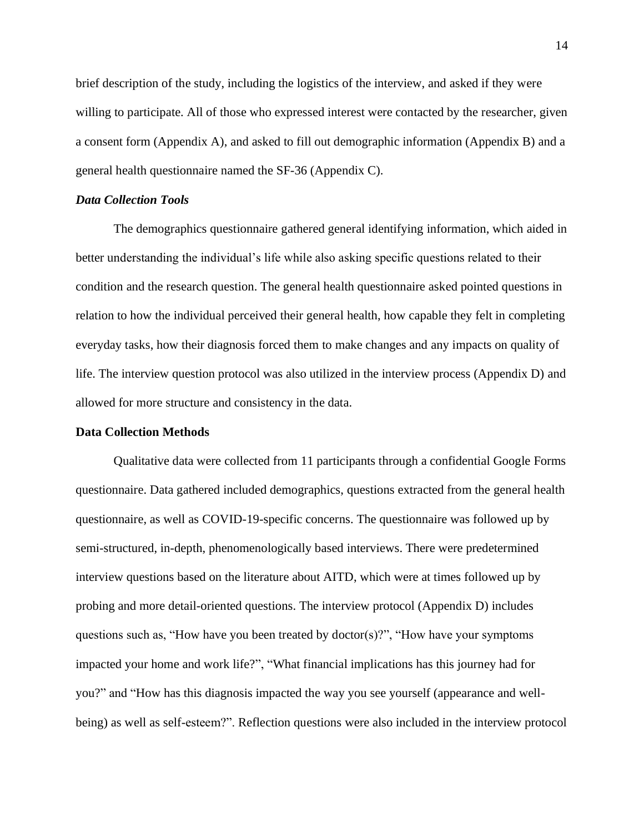brief description of the study, including the logistics of the interview, and asked if they were willing to participate. All of those who expressed interest were contacted by the researcher, given a consent form (Appendix A), and asked to fill out demographic information (Appendix B) and a general health questionnaire named the SF-36 (Appendix C).

#### *Data Collection Tools*

The demographics questionnaire gathered general identifying information, which aided in better understanding the individual's life while also asking specific questions related to their condition and the research question. The general health questionnaire asked pointed questions in relation to how the individual perceived their general health, how capable they felt in completing everyday tasks, how their diagnosis forced them to make changes and any impacts on quality of life. The interview question protocol was also utilized in the interview process (Appendix D) and allowed for more structure and consistency in the data.

#### **Data Collection Methods**

Qualitative data were collected from 11 participants through a confidential Google Forms questionnaire. Data gathered included demographics, questions extracted from the general health questionnaire, as well as COVID-19-specific concerns. The questionnaire was followed up by semi-structured, in-depth, phenomenologically based interviews. There were predetermined interview questions based on the literature about AITD, which were at times followed up by probing and more detail-oriented questions. The interview protocol (Appendix D) includes questions such as, "How have you been treated by doctor(s)?", "How have your symptoms impacted your home and work life?", "What financial implications has this journey had for you?" and "How has this diagnosis impacted the way you see yourself (appearance and wellbeing) as well as self-esteem?". Reflection questions were also included in the interview protocol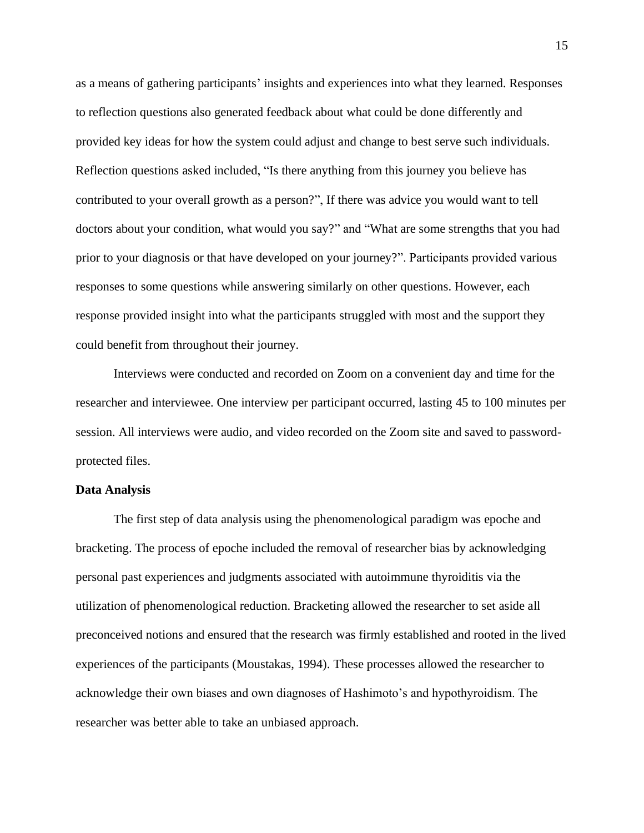as a means of gathering participants' insights and experiences into what they learned. Responses to reflection questions also generated feedback about what could be done differently and provided key ideas for how the system could adjust and change to best serve such individuals. Reflection questions asked included, "Is there anything from this journey you believe has contributed to your overall growth as a person?", If there was advice you would want to tell doctors about your condition, what would you say?" and "What are some strengths that you had prior to your diagnosis or that have developed on your journey?". Participants provided various responses to some questions while answering similarly on other questions. However, each response provided insight into what the participants struggled with most and the support they could benefit from throughout their journey.

Interviews were conducted and recorded on Zoom on a convenient day and time for the researcher and interviewee. One interview per participant occurred, lasting 45 to 100 minutes per session. All interviews were audio, and video recorded on the Zoom site and saved to passwordprotected files.

#### **Data Analysis**

The first step of data analysis using the phenomenological paradigm was epoche and bracketing. The process of epoche included the removal of researcher bias by acknowledging personal past experiences and judgments associated with autoimmune thyroiditis via the utilization of phenomenological reduction. Bracketing allowed the researcher to set aside all preconceived notions and ensured that the research was firmly established and rooted in the lived experiences of the participants (Moustakas, 1994). These processes allowed the researcher to acknowledge their own biases and own diagnoses of Hashimoto's and hypothyroidism. The researcher was better able to take an unbiased approach.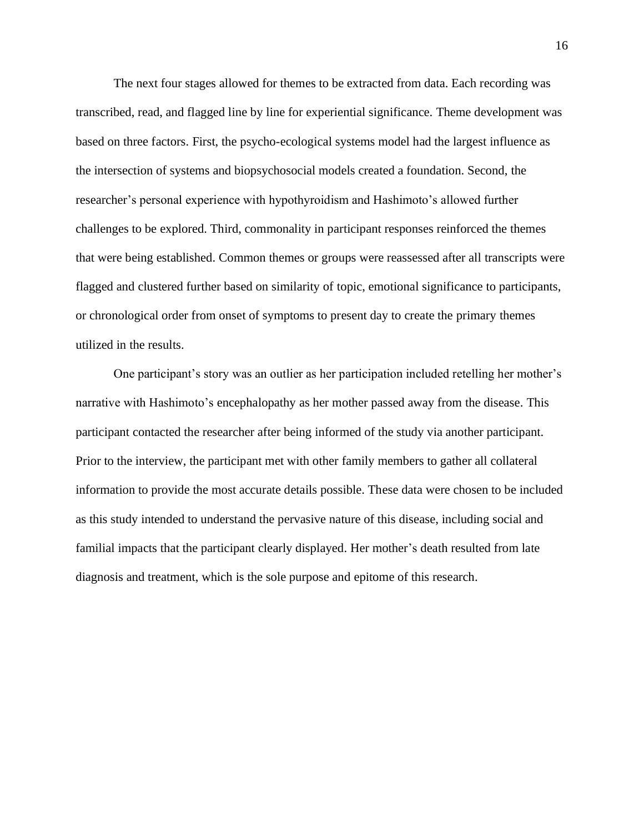The next four stages allowed for themes to be extracted from data. Each recording was transcribed, read, and flagged line by line for experiential significance. Theme development was based on three factors. First, the psycho-ecological systems model had the largest influence as the intersection of systems and biopsychosocial models created a foundation. Second, the researcher's personal experience with hypothyroidism and Hashimoto's allowed further challenges to be explored. Third, commonality in participant responses reinforced the themes that were being established. Common themes or groups were reassessed after all transcripts were flagged and clustered further based on similarity of topic, emotional significance to participants, or chronological order from onset of symptoms to present day to create the primary themes utilized in the results.

One participant's story was an outlier as her participation included retelling her mother's narrative with Hashimoto's encephalopathy as her mother passed away from the disease. This participant contacted the researcher after being informed of the study via another participant. Prior to the interview, the participant met with other family members to gather all collateral information to provide the most accurate details possible. These data were chosen to be included as this study intended to understand the pervasive nature of this disease, including social and familial impacts that the participant clearly displayed. Her mother's death resulted from late diagnosis and treatment, which is the sole purpose and epitome of this research.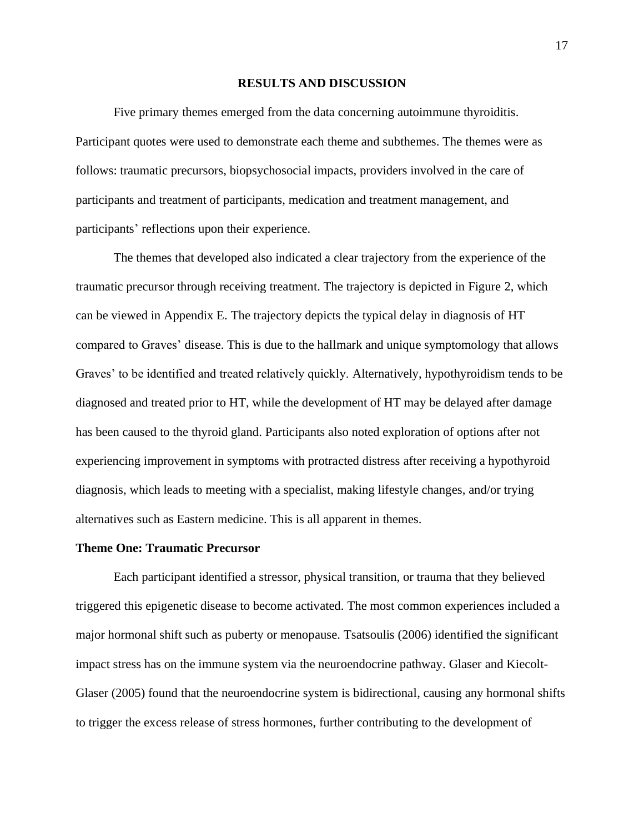#### **RESULTS AND DISCUSSION**

Five primary themes emerged from the data concerning autoimmune thyroiditis. Participant quotes were used to demonstrate each theme and subthemes. The themes were as follows: traumatic precursors, biopsychosocial impacts, providers involved in the care of participants and treatment of participants, medication and treatment management, and participants' reflections upon their experience.

The themes that developed also indicated a clear trajectory from the experience of the traumatic precursor through receiving treatment. The trajectory is depicted in Figure 2, which can be viewed in Appendix E. The trajectory depicts the typical delay in diagnosis of HT compared to Graves' disease. This is due to the hallmark and unique symptomology that allows Graves' to be identified and treated relatively quickly. Alternatively, hypothyroidism tends to be diagnosed and treated prior to HT, while the development of HT may be delayed after damage has been caused to the thyroid gland. Participants also noted exploration of options after not experiencing improvement in symptoms with protracted distress after receiving a hypothyroid diagnosis, which leads to meeting with a specialist, making lifestyle changes, and/or trying alternatives such as Eastern medicine. This is all apparent in themes.

#### **Theme One: Traumatic Precursor**

Each participant identified a stressor, physical transition, or trauma that they believed triggered this epigenetic disease to become activated. The most common experiences included a major hormonal shift such as puberty or menopause. Tsatsoulis (2006) identified the significant impact stress has on the immune system via the neuroendocrine pathway. Glaser and Kiecolt-Glaser (2005) found that the neuroendocrine system is bidirectional, causing any hormonal shifts to trigger the excess release of stress hormones, further contributing to the development of

17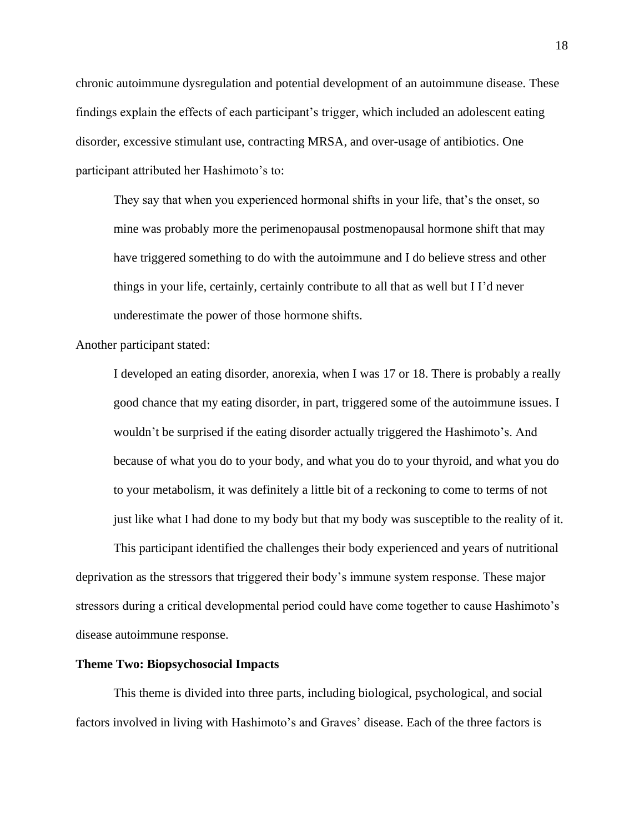chronic autoimmune dysregulation and potential development of an autoimmune disease. These findings explain the effects of each participant's trigger, which included an adolescent eating disorder, excessive stimulant use, contracting MRSA, and over-usage of antibiotics. One participant attributed her Hashimoto's to:

They say that when you experienced hormonal shifts in your life, that's the onset, so mine was probably more the perimenopausal postmenopausal hormone shift that may have triggered something to do with the autoimmune and I do believe stress and other things in your life, certainly, certainly contribute to all that as well but I I'd never underestimate the power of those hormone shifts.

Another participant stated:

I developed an eating disorder, anorexia, when I was 17 or 18. There is probably a really good chance that my eating disorder, in part, triggered some of the autoimmune issues. I wouldn't be surprised if the eating disorder actually triggered the Hashimoto's. And because of what you do to your body, and what you do to your thyroid, and what you do to your metabolism, it was definitely a little bit of a reckoning to come to terms of not just like what I had done to my body but that my body was susceptible to the reality of it.

This participant identified the challenges their body experienced and years of nutritional deprivation as the stressors that triggered their body's immune system response. These major stressors during a critical developmental period could have come together to cause Hashimoto's disease autoimmune response.

#### **Theme Two: Biopsychosocial Impacts**

This theme is divided into three parts, including biological, psychological, and social factors involved in living with Hashimoto's and Graves' disease. Each of the three factors is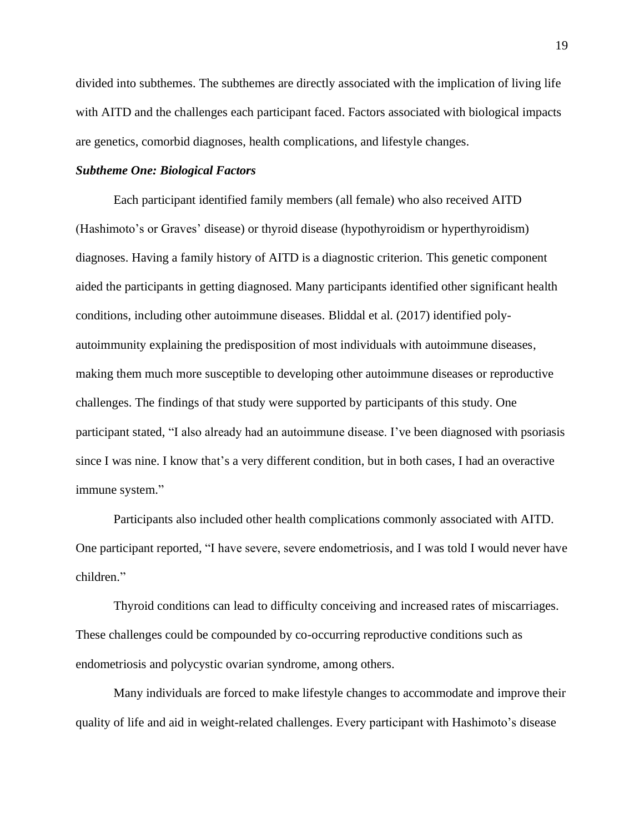divided into subthemes. The subthemes are directly associated with the implication of living life with AITD and the challenges each participant faced. Factors associated with biological impacts are genetics, comorbid diagnoses, health complications, and lifestyle changes.

#### *Subtheme One: Biological Factors*

Each participant identified family members (all female) who also received AITD (Hashimoto's or Graves' disease) or thyroid disease (hypothyroidism or hyperthyroidism) diagnoses. Having a family history of AITD is a diagnostic criterion. This genetic component aided the participants in getting diagnosed. Many participants identified other significant health conditions, including other autoimmune diseases. Bliddal et al. (2017) identified polyautoimmunity explaining the predisposition of most individuals with autoimmune diseases, making them much more susceptible to developing other autoimmune diseases or reproductive challenges. The findings of that study were supported by participants of this study. One participant stated, "I also already had an autoimmune disease. I've been diagnosed with psoriasis since I was nine. I know that's a very different condition, but in both cases, I had an overactive immune system."

Participants also included other health complications commonly associated with AITD. One participant reported*,* "I have severe, severe endometriosis, and I was told I would never have children."

Thyroid conditions can lead to difficulty conceiving and increased rates of miscarriages. These challenges could be compounded by co-occurring reproductive conditions such as endometriosis and polycystic ovarian syndrome, among others.

Many individuals are forced to make lifestyle changes to accommodate and improve their quality of life and aid in weight-related challenges. Every participant with Hashimoto's disease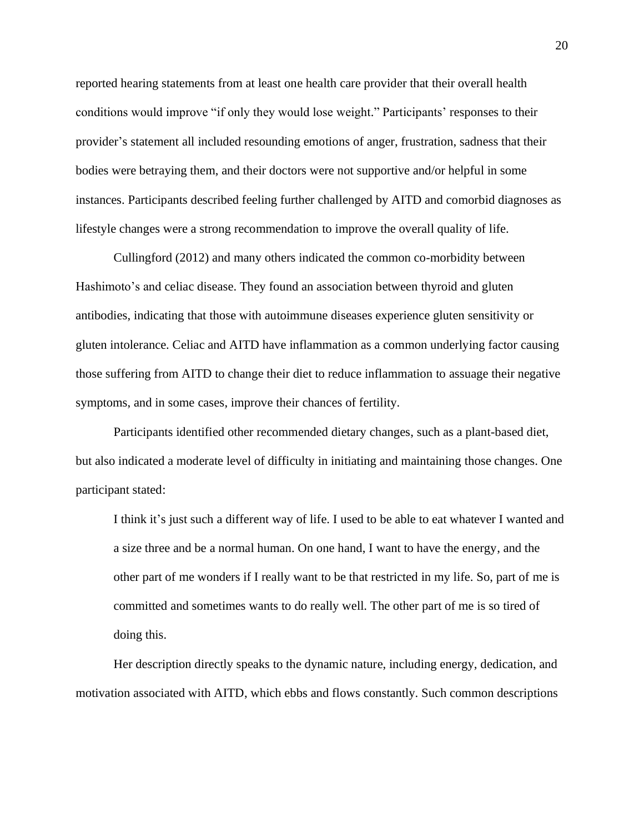reported hearing statements from at least one health care provider that their overall health conditions would improve "if only they would lose weight." Participants' responses to their provider's statement all included resounding emotions of anger, frustration, sadness that their bodies were betraying them, and their doctors were not supportive and/or helpful in some instances. Participants described feeling further challenged by AITD and comorbid diagnoses as lifestyle changes were a strong recommendation to improve the overall quality of life.

Cullingford (2012) and many others indicated the common co-morbidity between Hashimoto's and celiac disease. They found an association between thyroid and gluten antibodies, indicating that those with autoimmune diseases experience gluten sensitivity or gluten intolerance. Celiac and AITD have inflammation as a common underlying factor causing those suffering from AITD to change their diet to reduce inflammation to assuage their negative symptoms, and in some cases, improve their chances of fertility.

Participants identified other recommended dietary changes, such as a plant-based diet, but also indicated a moderate level of difficulty in initiating and maintaining those changes. One participant stated:

I think it's just such a different way of life. I used to be able to eat whatever I wanted and a size three and be a normal human. On one hand, I want to have the energy, and the other part of me wonders if I really want to be that restricted in my life. So, part of me is committed and sometimes wants to do really well. The other part of me is so tired of doing this.

Her description directly speaks to the dynamic nature, including energy, dedication, and motivation associated with AITD, which ebbs and flows constantly. Such common descriptions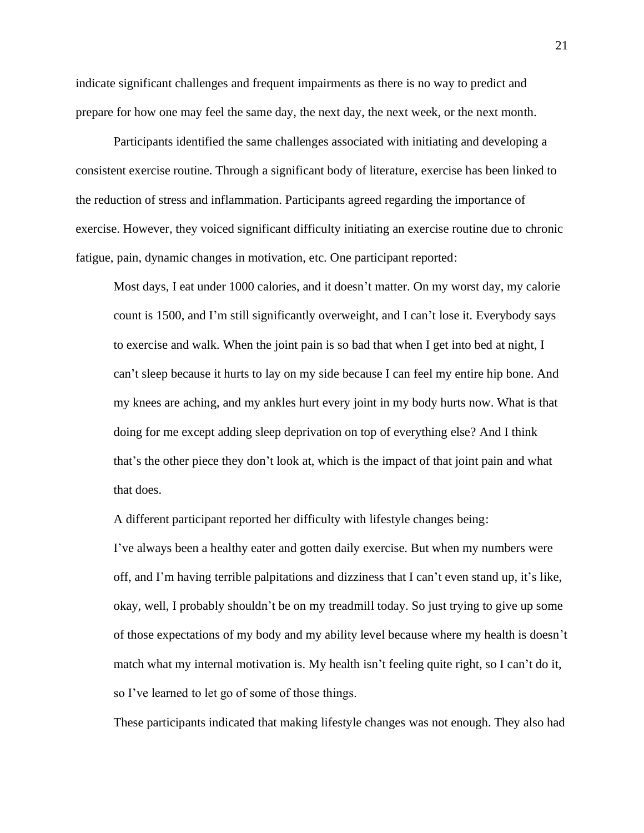indicate significant challenges and frequent impairments as there is no way to predict and prepare for how one may feel the same day, the next day, the next week, or the next month.

Participants identified the same challenges associated with initiating and developing a consistent exercise routine. Through a significant body of literature, exercise has been linked to the reduction of stress and inflammation. Participants agreed regarding the importance of exercise. However, they voiced significant difficulty initiating an exercise routine due to chronic fatigue, pain, dynamic changes in motivation, etc. One participant reported:

Most days, I eat under 1000 calories, and it doesn't matter. On my worst day, my calorie count is 1500, and I'm still significantly overweight, and I can't lose it. Everybody says to exercise and walk. When the joint pain is so bad that when I get into bed at night, I can't sleep because it hurts to lay on my side because I can feel my entire hip bone. And my knees are aching, and my ankles hurt every joint in my body hurts now. What is that doing for me except adding sleep deprivation on top of everything else? And I think that's the other piece they don't look at, which is the impact of that joint pain and what that does.

A different participant reported her difficulty with lifestyle changes being:

I've always been a healthy eater and gotten daily exercise. But when my numbers were off, and I'm having terrible palpitations and dizziness that I can't even stand up, it's like, okay, well, I probably shouldn't be on my treadmill today. So just trying to give up some of those expectations of my body and my ability level because where my health is doesn't match what my internal motivation is. My health isn't feeling quite right, so I can't do it, so I've learned to let go of some of those things.

These participants indicated that making lifestyle changes was not enough. They also had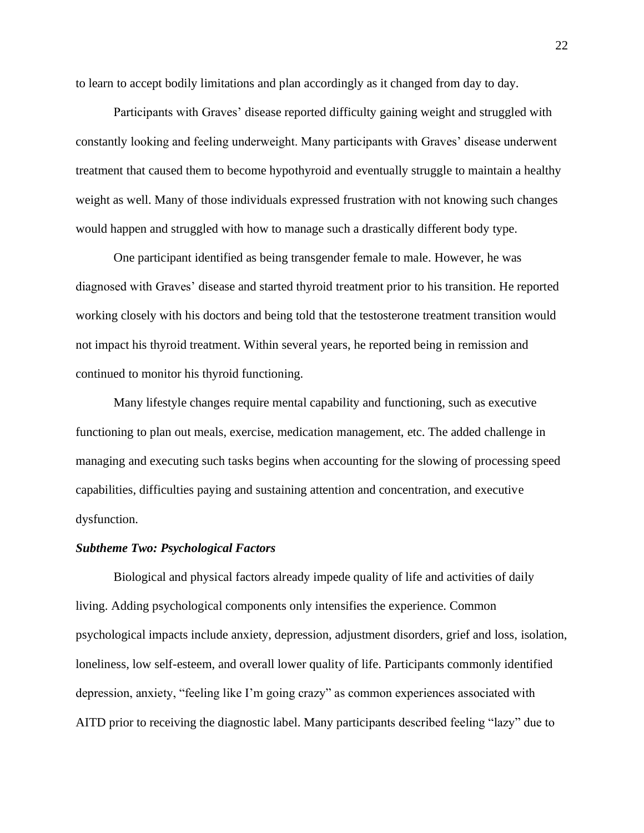to learn to accept bodily limitations and plan accordingly as it changed from day to day.

Participants with Graves' disease reported difficulty gaining weight and struggled with constantly looking and feeling underweight. Many participants with Graves' disease underwent treatment that caused them to become hypothyroid and eventually struggle to maintain a healthy weight as well. Many of those individuals expressed frustration with not knowing such changes would happen and struggled with how to manage such a drastically different body type.

One participant identified as being transgender female to male. However, he was diagnosed with Graves' disease and started thyroid treatment prior to his transition. He reported working closely with his doctors and being told that the testosterone treatment transition would not impact his thyroid treatment. Within several years, he reported being in remission and continued to monitor his thyroid functioning.

Many lifestyle changes require mental capability and functioning, such as executive functioning to plan out meals, exercise, medication management, etc. The added challenge in managing and executing such tasks begins when accounting for the slowing of processing speed capabilities, difficulties paying and sustaining attention and concentration, and executive dysfunction.

#### *Subtheme Two: Psychological Factors*

Biological and physical factors already impede quality of life and activities of daily living. Adding psychological components only intensifies the experience. Common psychological impacts include anxiety, depression, adjustment disorders, grief and loss, isolation, loneliness, low self-esteem, and overall lower quality of life. Participants commonly identified depression, anxiety, "feeling like I'm going crazy" as common experiences associated with AITD prior to receiving the diagnostic label. Many participants described feeling "lazy" due to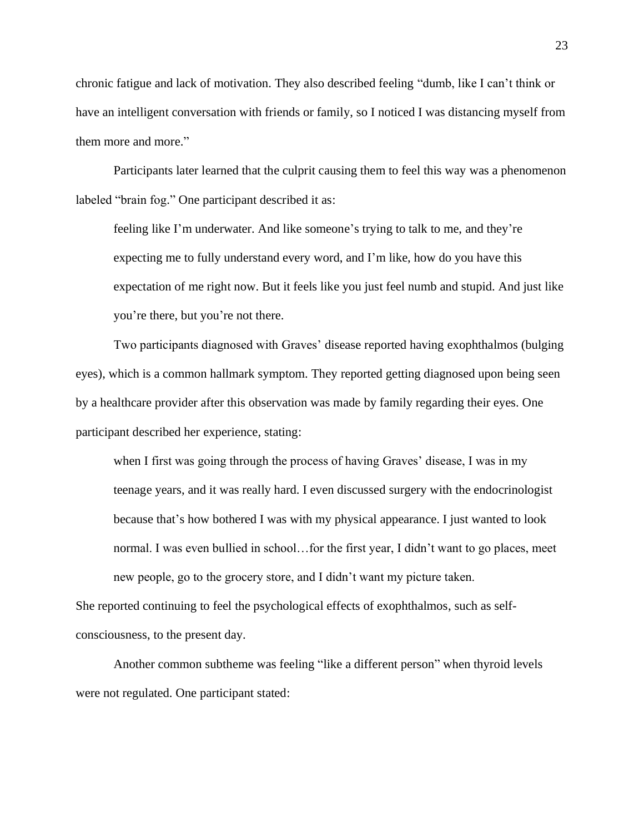chronic fatigue and lack of motivation. They also described feeling "dumb, like I can't think or have an intelligent conversation with friends or family, so I noticed I was distancing myself from them more and more."

Participants later learned that the culprit causing them to feel this way was a phenomenon labeled "brain fog." One participant described it as:

feeling like I'm underwater. And like someone's trying to talk to me, and they're expecting me to fully understand every word, and I'm like, how do you have this expectation of me right now. But it feels like you just feel numb and stupid. And just like you're there, but you're not there.

Two participants diagnosed with Graves' disease reported having exophthalmos (bulging eyes), which is a common hallmark symptom. They reported getting diagnosed upon being seen by a healthcare provider after this observation was made by family regarding their eyes. One participant described her experience, stating:

when I first was going through the process of having Graves' disease, I was in my teenage years, and it was really hard. I even discussed surgery with the endocrinologist because that's how bothered I was with my physical appearance. I just wanted to look normal. I was even bullied in school…for the first year, I didn't want to go places, meet new people, go to the grocery store, and I didn't want my picture taken.

She reported continuing to feel the psychological effects of exophthalmos, such as selfconsciousness, to the present day.

Another common subtheme was feeling "like a different person" when thyroid levels were not regulated. One participant stated: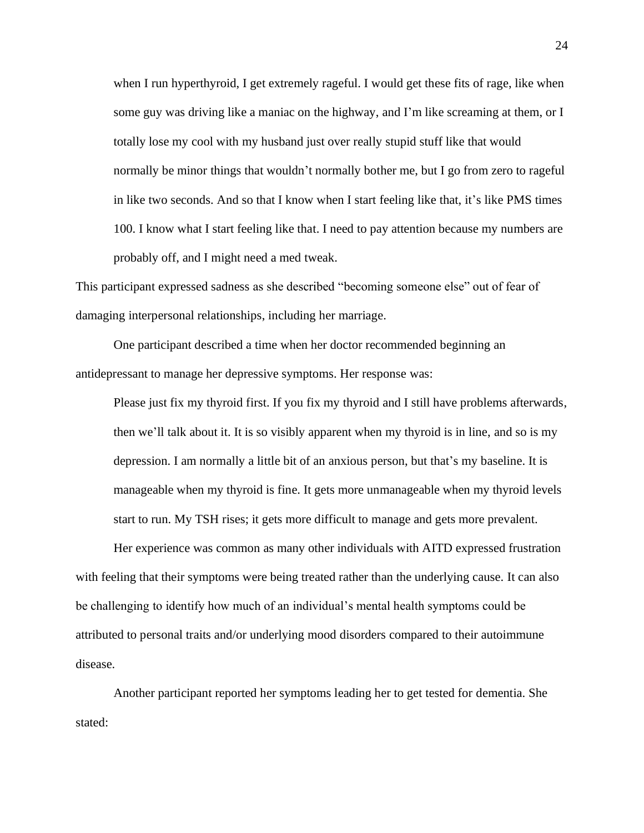when I run hyperthyroid, I get extremely rageful. I would get these fits of rage, like when some guy was driving like a maniac on the highway, and I'm like screaming at them, or I totally lose my cool with my husband just over really stupid stuff like that would normally be minor things that wouldn't normally bother me, but I go from zero to rageful in like two seconds. And so that I know when I start feeling like that, it's like PMS times 100. I know what I start feeling like that. I need to pay attention because my numbers are probably off, and I might need a med tweak.

This participant expressed sadness as she described "becoming someone else" out of fear of damaging interpersonal relationships, including her marriage.

One participant described a time when her doctor recommended beginning an antidepressant to manage her depressive symptoms. Her response was:

Please just fix my thyroid first. If you fix my thyroid and I still have problems afterwards, then we'll talk about it. It is so visibly apparent when my thyroid is in line, and so is my depression. I am normally a little bit of an anxious person, but that's my baseline. It is manageable when my thyroid is fine. It gets more unmanageable when my thyroid levels start to run. My TSH rises; it gets more difficult to manage and gets more prevalent.

Her experience was common as many other individuals with AITD expressed frustration with feeling that their symptoms were being treated rather than the underlying cause. It can also be challenging to identify how much of an individual's mental health symptoms could be attributed to personal traits and/or underlying mood disorders compared to their autoimmune disease.

Another participant reported her symptoms leading her to get tested for dementia. She stated: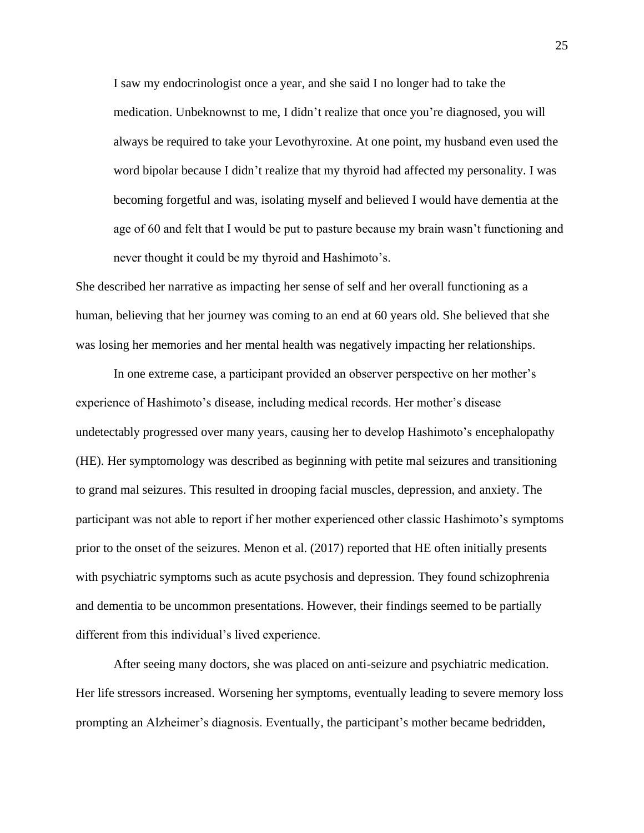I saw my endocrinologist once a year, and she said I no longer had to take the medication. Unbeknownst to me, I didn't realize that once you're diagnosed, you will always be required to take your Levothyroxine. At one point, my husband even used the word bipolar because I didn't realize that my thyroid had affected my personality. I was becoming forgetful and was, isolating myself and believed I would have dementia at the age of 60 and felt that I would be put to pasture because my brain wasn't functioning and never thought it could be my thyroid and Hashimoto's.

She described her narrative as impacting her sense of self and her overall functioning as a human, believing that her journey was coming to an end at 60 years old. She believed that she was losing her memories and her mental health was negatively impacting her relationships.

In one extreme case, a participant provided an observer perspective on her mother's experience of Hashimoto's disease, including medical records. Her mother's disease undetectably progressed over many years, causing her to develop Hashimoto's encephalopathy (HE). Her symptomology was described as beginning with petite mal seizures and transitioning to grand mal seizures. This resulted in drooping facial muscles, depression, and anxiety. The participant was not able to report if her mother experienced other classic Hashimoto's symptoms prior to the onset of the seizures. Menon et al. (2017) reported that HE often initially presents with psychiatric symptoms such as acute psychosis and depression. They found schizophrenia and dementia to be uncommon presentations. However, their findings seemed to be partially different from this individual's lived experience.

After seeing many doctors, she was placed on anti-seizure and psychiatric medication. Her life stressors increased. Worsening her symptoms, eventually leading to severe memory loss prompting an Alzheimer's diagnosis. Eventually, the participant's mother became bedridden,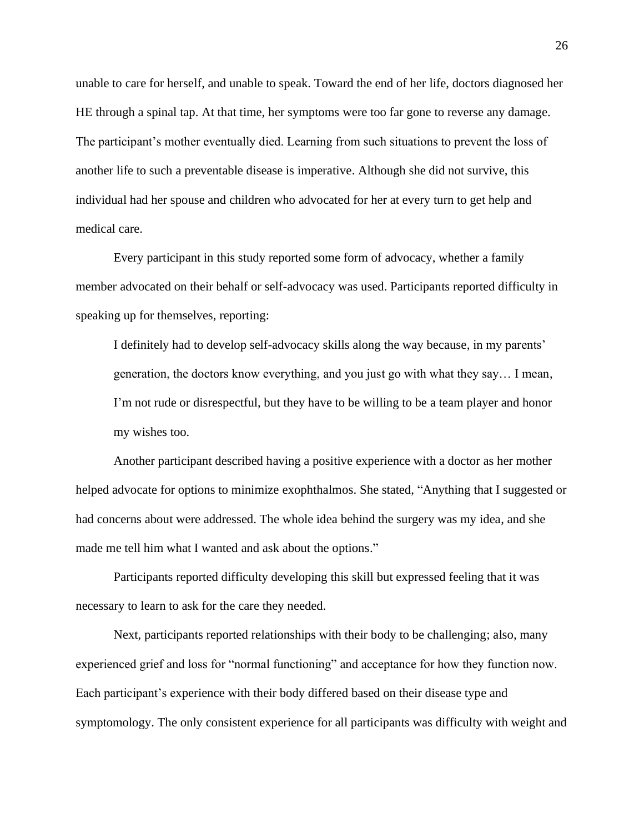unable to care for herself, and unable to speak. Toward the end of her life, doctors diagnosed her HE through a spinal tap. At that time, her symptoms were too far gone to reverse any damage. The participant's mother eventually died. Learning from such situations to prevent the loss of another life to such a preventable disease is imperative. Although she did not survive, this individual had her spouse and children who advocated for her at every turn to get help and medical care.

Every participant in this study reported some form of advocacy, whether a family member advocated on their behalf or self-advocacy was used. Participants reported difficulty in speaking up for themselves, reporting:

I definitely had to develop self-advocacy skills along the way because, in my parents' generation, the doctors know everything, and you just go with what they say… I mean, I'm not rude or disrespectful, but they have to be willing to be a team player and honor my wishes too.

Another participant described having a positive experience with a doctor as her mother helped advocate for options to minimize exophthalmos. She stated, "Anything that I suggested or had concerns about were addressed. The whole idea behind the surgery was my idea, and she made me tell him what I wanted and ask about the options."

Participants reported difficulty developing this skill but expressed feeling that it was necessary to learn to ask for the care they needed.

Next, participants reported relationships with their body to be challenging; also, many experienced grief and loss for "normal functioning" and acceptance for how they function now. Each participant's experience with their body differed based on their disease type and symptomology. The only consistent experience for all participants was difficulty with weight and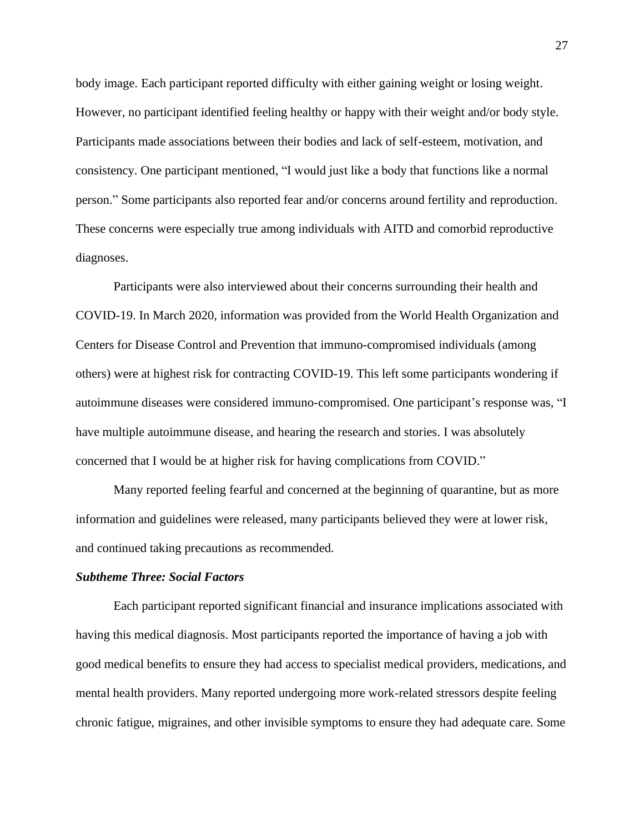body image. Each participant reported difficulty with either gaining weight or losing weight. However, no participant identified feeling healthy or happy with their weight and/or body style. Participants made associations between their bodies and lack of self-esteem, motivation, and consistency. One participant mentioned*,* "I would just like a body that functions like a normal person." Some participants also reported fear and/or concerns around fertility and reproduction. These concerns were especially true among individuals with AITD and comorbid reproductive diagnoses.

Participants were also interviewed about their concerns surrounding their health and COVID-19. In March 2020, information was provided from the World Health Organization and Centers for Disease Control and Prevention that immuno-compromised individuals (among others) were at highest risk for contracting COVID-19. This left some participants wondering if autoimmune diseases were considered immuno-compromised. One participant's response was*,* "I have multiple autoimmune disease, and hearing the research and stories. I was absolutely concerned that I would be at higher risk for having complications from COVID."

Many reported feeling fearful and concerned at the beginning of quarantine, but as more information and guidelines were released, many participants believed they were at lower risk, and continued taking precautions as recommended.

#### *Subtheme Three: Social Factors*

Each participant reported significant financial and insurance implications associated with having this medical diagnosis. Most participants reported the importance of having a job with good medical benefits to ensure they had access to specialist medical providers, medications, and mental health providers. Many reported undergoing more work-related stressors despite feeling chronic fatigue, migraines, and other invisible symptoms to ensure they had adequate care. Some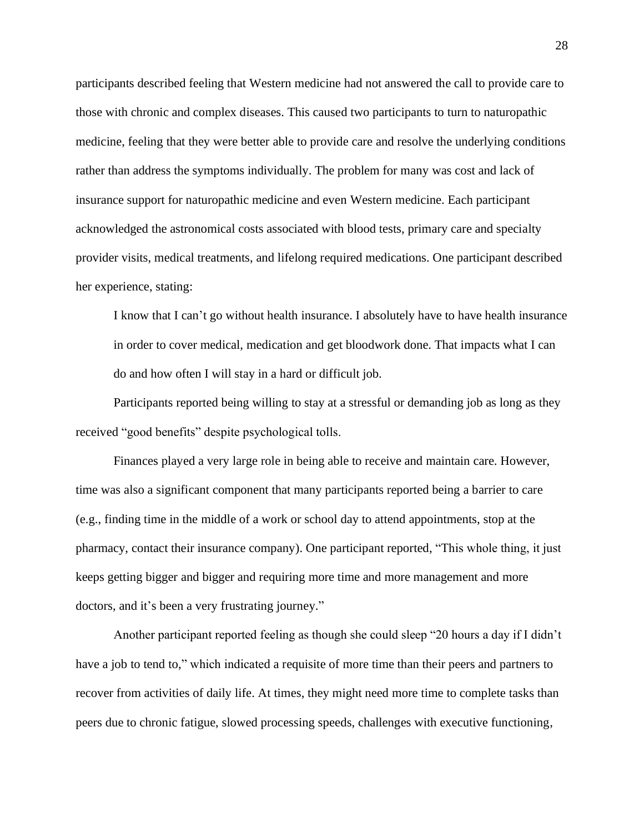participants described feeling that Western medicine had not answered the call to provide care to those with chronic and complex diseases. This caused two participants to turn to naturopathic medicine, feeling that they were better able to provide care and resolve the underlying conditions rather than address the symptoms individually. The problem for many was cost and lack of insurance support for naturopathic medicine and even Western medicine. Each participant acknowledged the astronomical costs associated with blood tests, primary care and specialty provider visits, medical treatments, and lifelong required medications. One participant described her experience, stating:

I know that I can't go without health insurance. I absolutely have to have health insurance in order to cover medical, medication and get bloodwork done. That impacts what I can do and how often I will stay in a hard or difficult job.

Participants reported being willing to stay at a stressful or demanding job as long as they received "good benefits" despite psychological tolls.

Finances played a very large role in being able to receive and maintain care. However, time was also a significant component that many participants reported being a barrier to care (e.g., finding time in the middle of a work or school day to attend appointments, stop at the pharmacy, contact their insurance company). One participant reported, "This whole thing, it just keeps getting bigger and bigger and requiring more time and more management and more doctors, and it's been a very frustrating journey."

Another participant reported feeling as though she could sleep "20 hours a day if I didn't have a job to tend to," which indicated a requisite of more time than their peers and partners to recover from activities of daily life. At times, they might need more time to complete tasks than peers due to chronic fatigue, slowed processing speeds, challenges with executive functioning,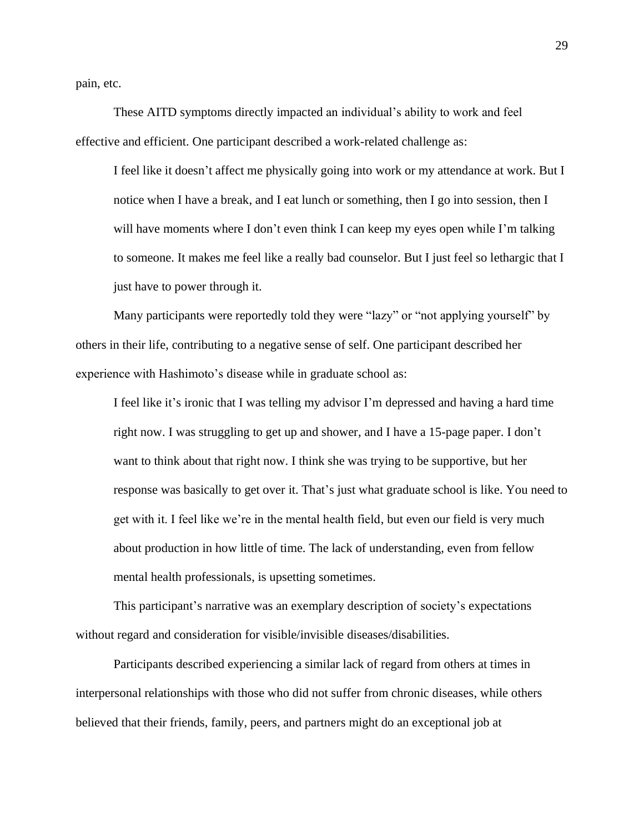pain, etc.

These AITD symptoms directly impacted an individual's ability to work and feel effective and efficient. One participant described a work-related challenge as:

I feel like it doesn't affect me physically going into work or my attendance at work. But I notice when I have a break, and I eat lunch or something, then I go into session, then I will have moments where I don't even think I can keep my eyes open while I'm talking to someone. It makes me feel like a really bad counselor. But I just feel so lethargic that I just have to power through it.

Many participants were reportedly told they were "lazy" or "not applying yourself" by others in their life, contributing to a negative sense of self. One participant described her experience with Hashimoto's disease while in graduate school as:

I feel like it's ironic that I was telling my advisor I'm depressed and having a hard time right now. I was struggling to get up and shower, and I have a 15-page paper. I don't want to think about that right now. I think she was trying to be supportive, but her response was basically to get over it. That's just what graduate school is like. You need to get with it. I feel like we're in the mental health field, but even our field is very much about production in how little of time. The lack of understanding, even from fellow mental health professionals, is upsetting sometimes.

This participant's narrative was an exemplary description of society's expectations without regard and consideration for visible/invisible diseases/disabilities.

Participants described experiencing a similar lack of regard from others at times in interpersonal relationships with those who did not suffer from chronic diseases, while others believed that their friends, family, peers, and partners might do an exceptional job at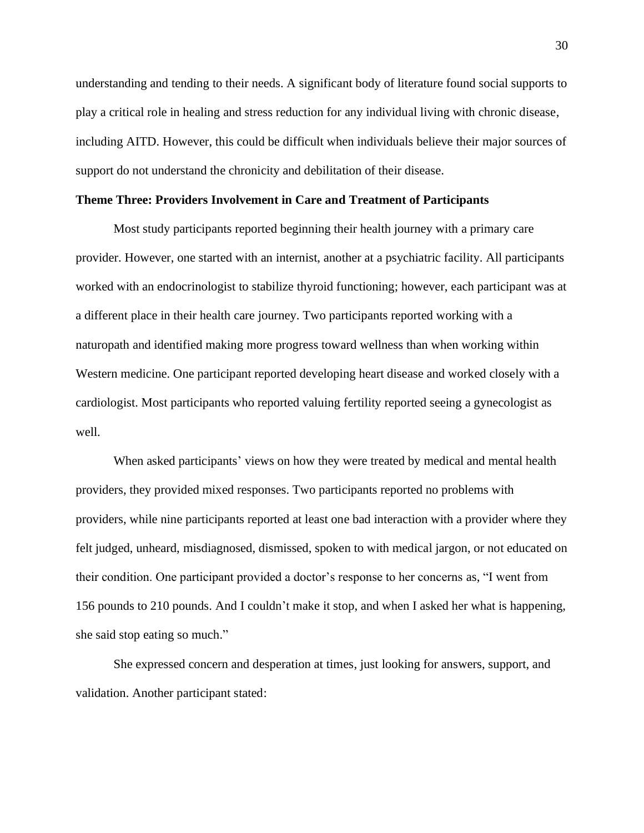understanding and tending to their needs. A significant body of literature found social supports to play a critical role in healing and stress reduction for any individual living with chronic disease, including AITD. However, this could be difficult when individuals believe their major sources of support do not understand the chronicity and debilitation of their disease.

#### **Theme Three: Providers Involvement in Care and Treatment of Participants**

Most study participants reported beginning their health journey with a primary care provider. However, one started with an internist, another at a psychiatric facility. All participants worked with an endocrinologist to stabilize thyroid functioning; however, each participant was at a different place in their health care journey. Two participants reported working with a naturopath and identified making more progress toward wellness than when working within Western medicine. One participant reported developing heart disease and worked closely with a cardiologist. Most participants who reported valuing fertility reported seeing a gynecologist as well.

When asked participants' views on how they were treated by medical and mental health providers, they provided mixed responses. Two participants reported no problems with providers, while nine participants reported at least one bad interaction with a provider where they felt judged, unheard, misdiagnosed, dismissed, spoken to with medical jargon, or not educated on their condition. One participant provided a doctor's response to her concerns as, "I went from 156 pounds to 210 pounds. And I couldn't make it stop, and when I asked her what is happening, she said stop eating so much."

She expressed concern and desperation at times, just looking for answers, support, and validation. Another participant stated: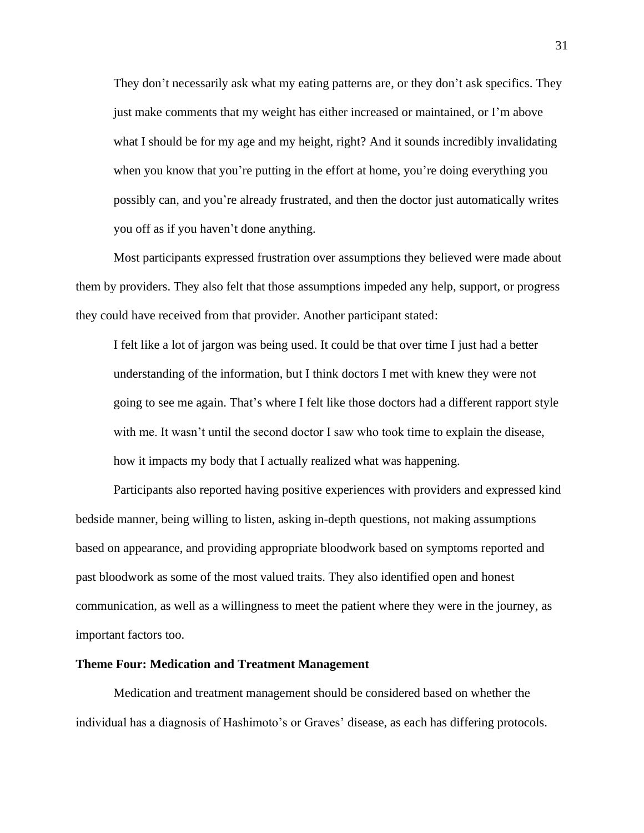They don't necessarily ask what my eating patterns are, or they don't ask specifics. They just make comments that my weight has either increased or maintained, or I'm above what I should be for my age and my height, right? And it sounds incredibly invalidating when you know that you're putting in the effort at home, you're doing everything you possibly can, and you're already frustrated, and then the doctor just automatically writes you off as if you haven't done anything.

Most participants expressed frustration over assumptions they believed were made about them by providers. They also felt that those assumptions impeded any help, support, or progress they could have received from that provider. Another participant stated:

I felt like a lot of jargon was being used. It could be that over time I just had a better understanding of the information, but I think doctors I met with knew they were not going to see me again. That's where I felt like those doctors had a different rapport style with me. It wasn't until the second doctor I saw who took time to explain the disease, how it impacts my body that I actually realized what was happening.

Participants also reported having positive experiences with providers and expressed kind bedside manner, being willing to listen, asking in-depth questions, not making assumptions based on appearance, and providing appropriate bloodwork based on symptoms reported and past bloodwork as some of the most valued traits. They also identified open and honest communication, as well as a willingness to meet the patient where they were in the journey, as important factors too.

#### **Theme Four: Medication and Treatment Management**

Medication and treatment management should be considered based on whether the individual has a diagnosis of Hashimoto's or Graves' disease, as each has differing protocols.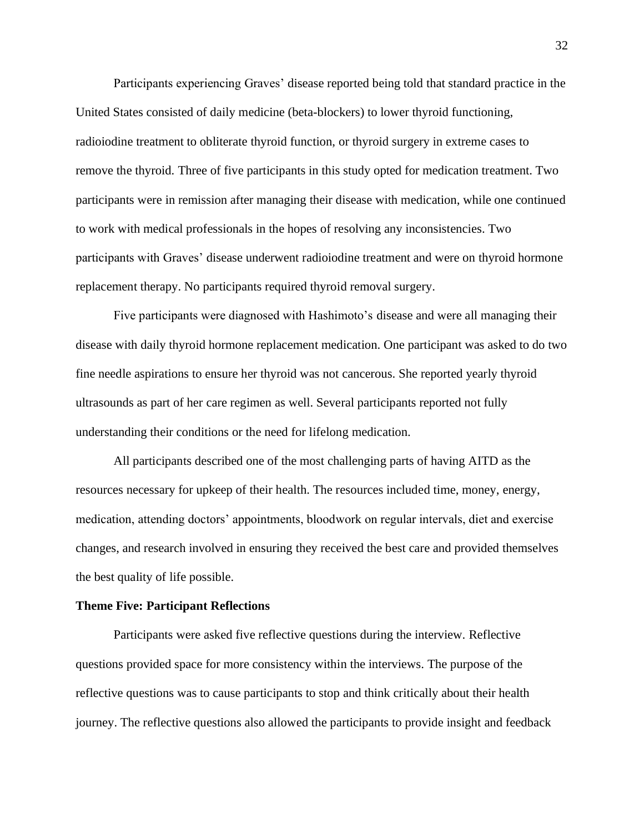Participants experiencing Graves' disease reported being told that standard practice in the United States consisted of daily medicine (beta-blockers) to lower thyroid functioning, radioiodine treatment to obliterate thyroid function, or thyroid surgery in extreme cases to remove the thyroid. Three of five participants in this study opted for medication treatment. Two participants were in remission after managing their disease with medication, while one continued to work with medical professionals in the hopes of resolving any inconsistencies. Two participants with Graves' disease underwent radioiodine treatment and were on thyroid hormone replacement therapy. No participants required thyroid removal surgery.

Five participants were diagnosed with Hashimoto's disease and were all managing their disease with daily thyroid hormone replacement medication. One participant was asked to do two fine needle aspirations to ensure her thyroid was not cancerous. She reported yearly thyroid ultrasounds as part of her care regimen as well. Several participants reported not fully understanding their conditions or the need for lifelong medication.

All participants described one of the most challenging parts of having AITD as the resources necessary for upkeep of their health. The resources included time, money, energy, medication, attending doctors' appointments, bloodwork on regular intervals, diet and exercise changes, and research involved in ensuring they received the best care and provided themselves the best quality of life possible.

#### **Theme Five: Participant Reflections**

Participants were asked five reflective questions during the interview. Reflective questions provided space for more consistency within the interviews. The purpose of the reflective questions was to cause participants to stop and think critically about their health journey. The reflective questions also allowed the participants to provide insight and feedback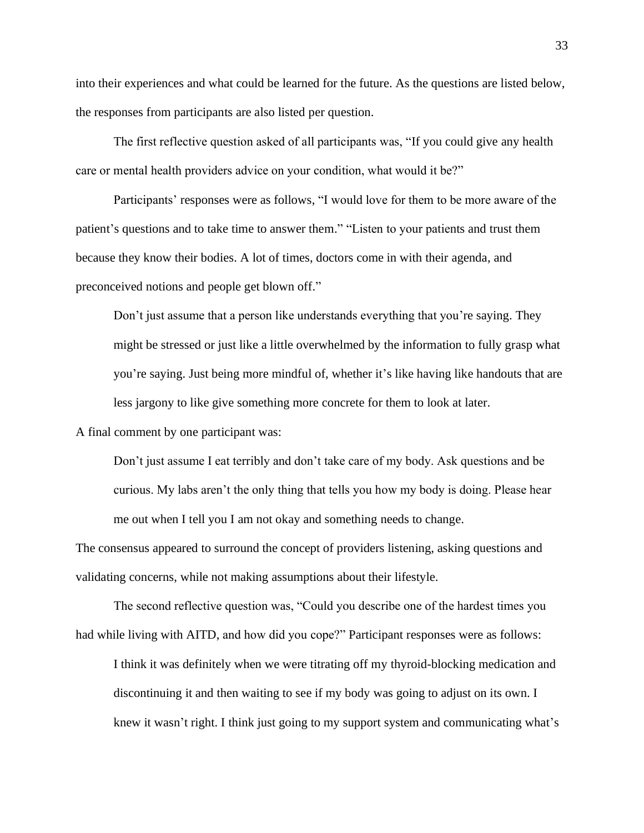into their experiences and what could be learned for the future. As the questions are listed below, the responses from participants are also listed per question.

The first reflective question asked of all participants was, "If you could give any health care or mental health providers advice on your condition, what would it be?"

Participants' responses were as follows, "I would love for them to be more aware of the patient's questions and to take time to answer them." "Listen to your patients and trust them because they know their bodies. A lot of times, doctors come in with their agenda, and preconceived notions and people get blown off."

Don't just assume that a person like understands everything that you're saying. They might be stressed or just like a little overwhelmed by the information to fully grasp what you're saying. Just being more mindful of, whether it's like having like handouts that are less jargony to like give something more concrete for them to look at later.

A final comment by one participant was:

Don't just assume I eat terribly and don't take care of my body. Ask questions and be curious. My labs aren't the only thing that tells you how my body is doing. Please hear me out when I tell you I am not okay and something needs to change.

The consensus appeared to surround the concept of providers listening, asking questions and validating concerns, while not making assumptions about their lifestyle.

The second reflective question was, "Could you describe one of the hardest times you had while living with AITD, and how did you cope?" Participant responses were as follows:

I think it was definitely when we were titrating off my thyroid-blocking medication and discontinuing it and then waiting to see if my body was going to adjust on its own. I knew it wasn't right. I think just going to my support system and communicating what's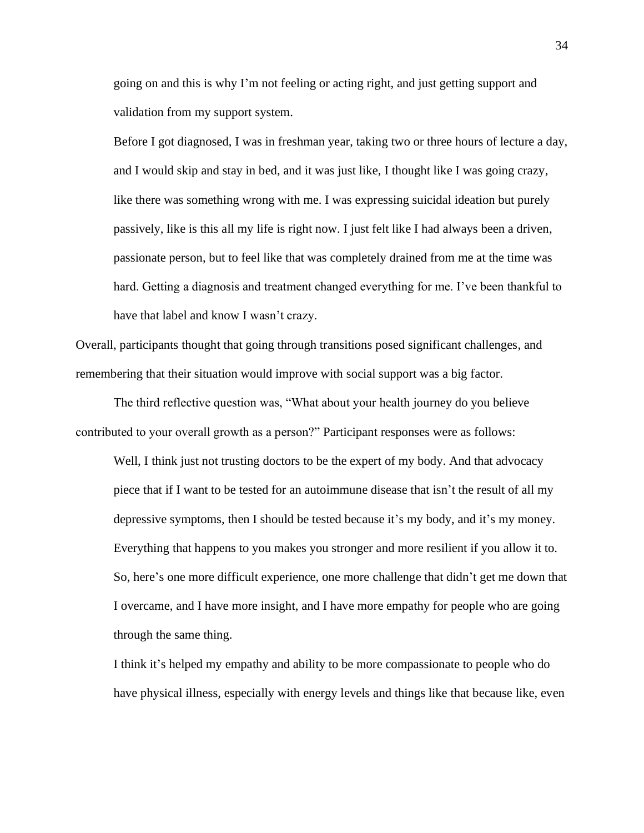going on and this is why I'm not feeling or acting right, and just getting support and validation from my support system.

Before I got diagnosed, I was in freshman year, taking two or three hours of lecture a day, and I would skip and stay in bed, and it was just like, I thought like I was going crazy, like there was something wrong with me. I was expressing suicidal ideation but purely passively, like is this all my life is right now. I just felt like I had always been a driven, passionate person, but to feel like that was completely drained from me at the time was hard. Getting a diagnosis and treatment changed everything for me. I've been thankful to have that label and know I wasn't crazy.

Overall, participants thought that going through transitions posed significant challenges, and remembering that their situation would improve with social support was a big factor.

The third reflective question was, "What about your health journey do you believe contributed to your overall growth as a person?" Participant responses were as follows:

Well, I think just not trusting doctors to be the expert of my body. And that advocacy piece that if I want to be tested for an autoimmune disease that isn't the result of all my depressive symptoms, then I should be tested because it's my body, and it's my money. Everything that happens to you makes you stronger and more resilient if you allow it to. So, here's one more difficult experience, one more challenge that didn't get me down that I overcame, and I have more insight, and I have more empathy for people who are going through the same thing.

I think it's helped my empathy and ability to be more compassionate to people who do have physical illness, especially with energy levels and things like that because like, even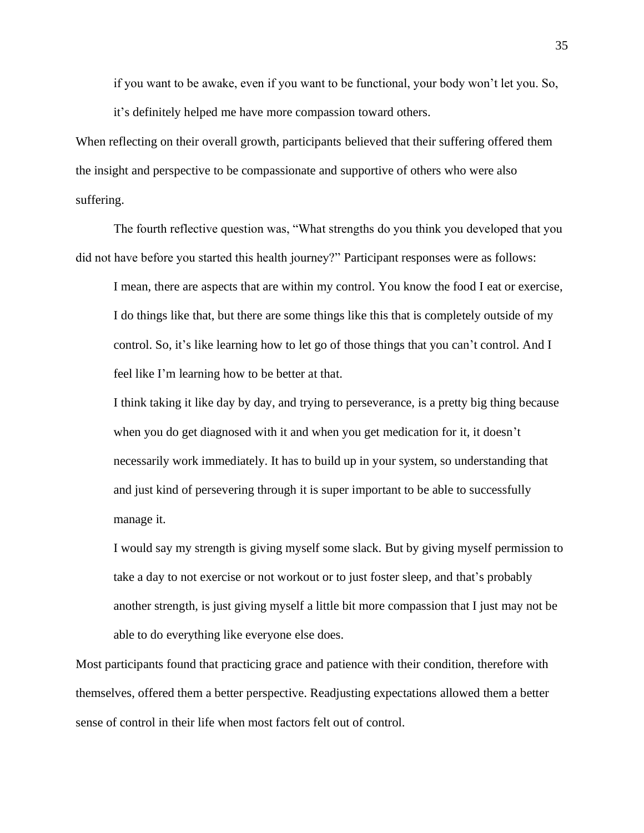if you want to be awake, even if you want to be functional, your body won't let you. So, it's definitely helped me have more compassion toward others.

When reflecting on their overall growth, participants believed that their suffering offered them the insight and perspective to be compassionate and supportive of others who were also suffering.

The fourth reflective question was, "What strengths do you think you developed that you did not have before you started this health journey?" Participant responses were as follows:

I mean, there are aspects that are within my control. You know the food I eat or exercise, I do things like that, but there are some things like this that is completely outside of my control. So, it's like learning how to let go of those things that you can't control. And I feel like I'm learning how to be better at that.

I think taking it like day by day, and trying to perseverance, is a pretty big thing because when you do get diagnosed with it and when you get medication for it, it doesn't necessarily work immediately. It has to build up in your system, so understanding that and just kind of persevering through it is super important to be able to successfully manage it.

I would say my strength is giving myself some slack. But by giving myself permission to take a day to not exercise or not workout or to just foster sleep, and that's probably another strength, is just giving myself a little bit more compassion that I just may not be able to do everything like everyone else does.

Most participants found that practicing grace and patience with their condition, therefore with themselves, offered them a better perspective. Readjusting expectations allowed them a better sense of control in their life when most factors felt out of control.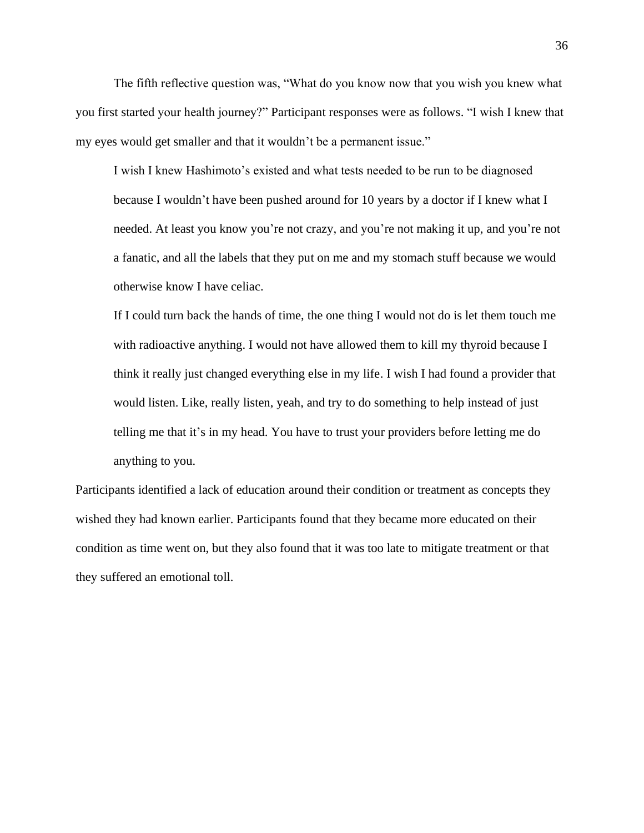The fifth reflective question was, "What do you know now that you wish you knew what you first started your health journey?" Participant responses were as follows. "I wish I knew that my eyes would get smaller and that it wouldn't be a permanent issue."

I wish I knew Hashimoto's existed and what tests needed to be run to be diagnosed because I wouldn't have been pushed around for 10 years by a doctor if I knew what I needed. At least you know you're not crazy, and you're not making it up, and you're not a fanatic, and all the labels that they put on me and my stomach stuff because we would otherwise know I have celiac.

If I could turn back the hands of time, the one thing I would not do is let them touch me with radioactive anything. I would not have allowed them to kill my thyroid because I think it really just changed everything else in my life. I wish I had found a provider that would listen. Like, really listen, yeah, and try to do something to help instead of just telling me that it's in my head. You have to trust your providers before letting me do anything to you.

Participants identified a lack of education around their condition or treatment as concepts they wished they had known earlier. Participants found that they became more educated on their condition as time went on, but they also found that it was too late to mitigate treatment or that they suffered an emotional toll.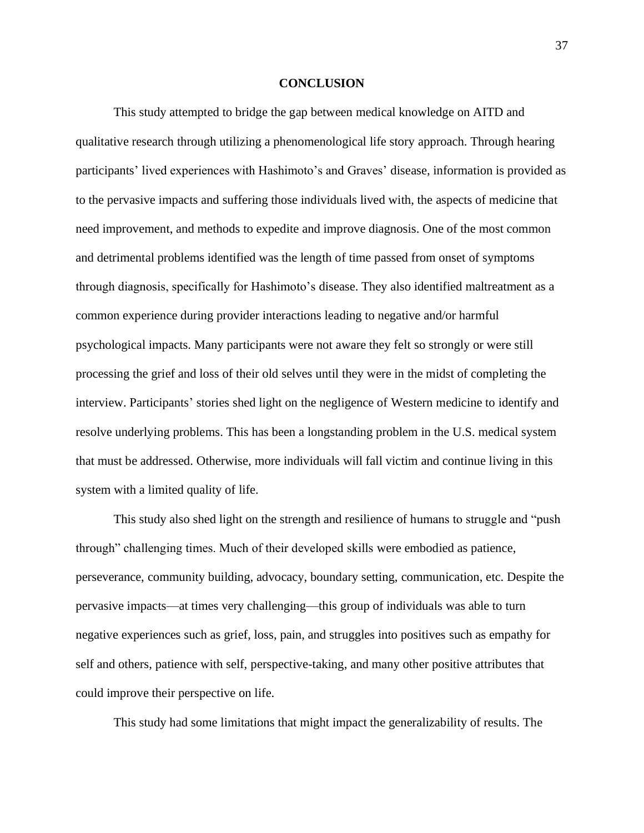#### **CONCLUSION**

This study attempted to bridge the gap between medical knowledge on AITD and qualitative research through utilizing a phenomenological life story approach. Through hearing participants' lived experiences with Hashimoto's and Graves' disease, information is provided as to the pervasive impacts and suffering those individuals lived with, the aspects of medicine that need improvement, and methods to expedite and improve diagnosis. One of the most common and detrimental problems identified was the length of time passed from onset of symptoms through diagnosis, specifically for Hashimoto's disease. They also identified maltreatment as a common experience during provider interactions leading to negative and/or harmful psychological impacts. Many participants were not aware they felt so strongly or were still processing the grief and loss of their old selves until they were in the midst of completing the interview. Participants' stories shed light on the negligence of Western medicine to identify and resolve underlying problems. This has been a longstanding problem in the U.S. medical system that must be addressed. Otherwise, more individuals will fall victim and continue living in this system with a limited quality of life.

This study also shed light on the strength and resilience of humans to struggle and "push through" challenging times. Much of their developed skills were embodied as patience, perseverance, community building, advocacy, boundary setting, communication, etc. Despite the pervasive impacts—at times very challenging—this group of individuals was able to turn negative experiences such as grief, loss, pain, and struggles into positives such as empathy for self and others, patience with self, perspective-taking, and many other positive attributes that could improve their perspective on life.

This study had some limitations that might impact the generalizability of results. The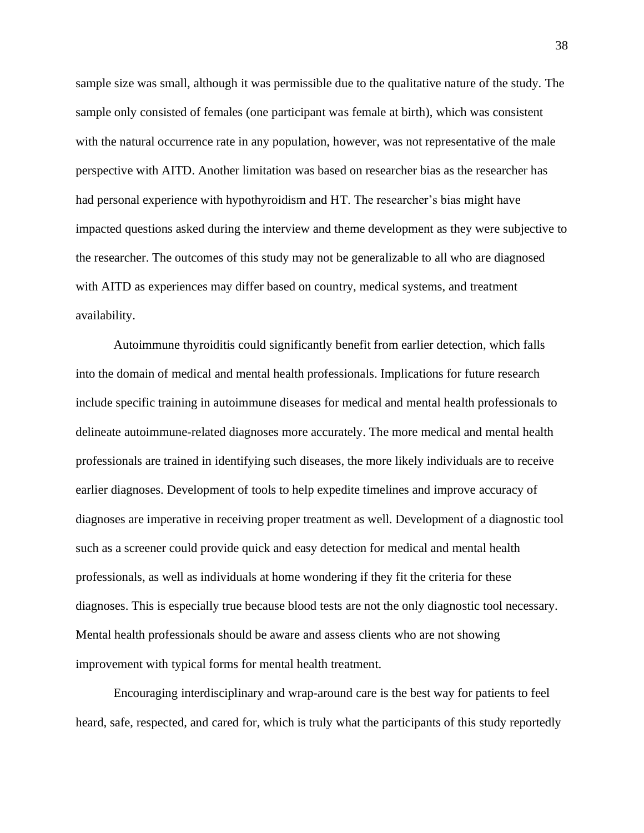sample size was small, although it was permissible due to the qualitative nature of the study. The sample only consisted of females (one participant was female at birth), which was consistent with the natural occurrence rate in any population, however, was not representative of the male perspective with AITD. Another limitation was based on researcher bias as the researcher has had personal experience with hypothyroidism and HT. The researcher's bias might have impacted questions asked during the interview and theme development as they were subjective to the researcher. The outcomes of this study may not be generalizable to all who are diagnosed with AITD as experiences may differ based on country, medical systems, and treatment availability.

Autoimmune thyroiditis could significantly benefit from earlier detection, which falls into the domain of medical and mental health professionals. Implications for future research include specific training in autoimmune diseases for medical and mental health professionals to delineate autoimmune-related diagnoses more accurately. The more medical and mental health professionals are trained in identifying such diseases, the more likely individuals are to receive earlier diagnoses. Development of tools to help expedite timelines and improve accuracy of diagnoses are imperative in receiving proper treatment as well. Development of a diagnostic tool such as a screener could provide quick and easy detection for medical and mental health professionals, as well as individuals at home wondering if they fit the criteria for these diagnoses. This is especially true because blood tests are not the only diagnostic tool necessary. Mental health professionals should be aware and assess clients who are not showing improvement with typical forms for mental health treatment.

Encouraging interdisciplinary and wrap-around care is the best way for patients to feel heard, safe, respected, and cared for, which is truly what the participants of this study reportedly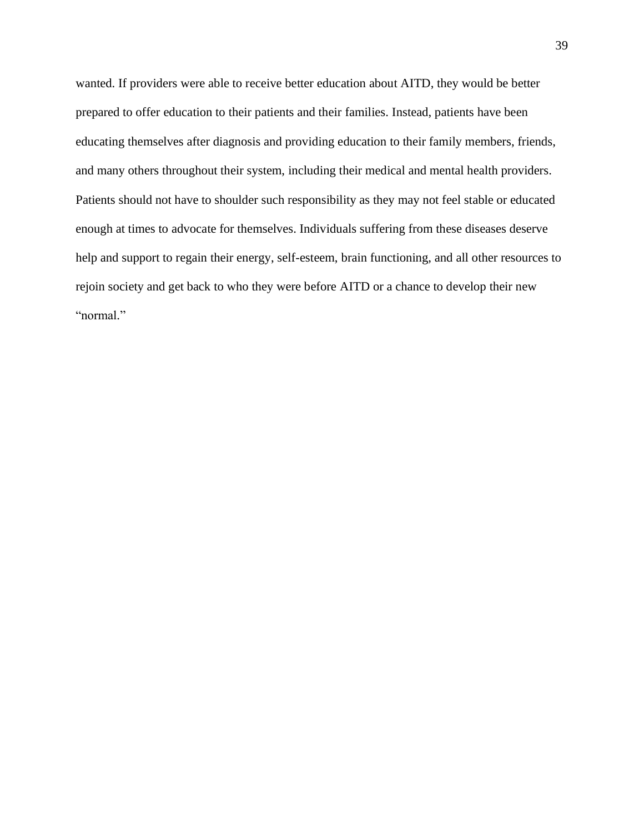wanted. If providers were able to receive better education about AITD, they would be better prepared to offer education to their patients and their families. Instead, patients have been educating themselves after diagnosis and providing education to their family members, friends, and many others throughout their system, including their medical and mental health providers. Patients should not have to shoulder such responsibility as they may not feel stable or educated enough at times to advocate for themselves. Individuals suffering from these diseases deserve help and support to regain their energy, self-esteem, brain functioning, and all other resources to rejoin society and get back to who they were before AITD or a chance to develop their new "normal."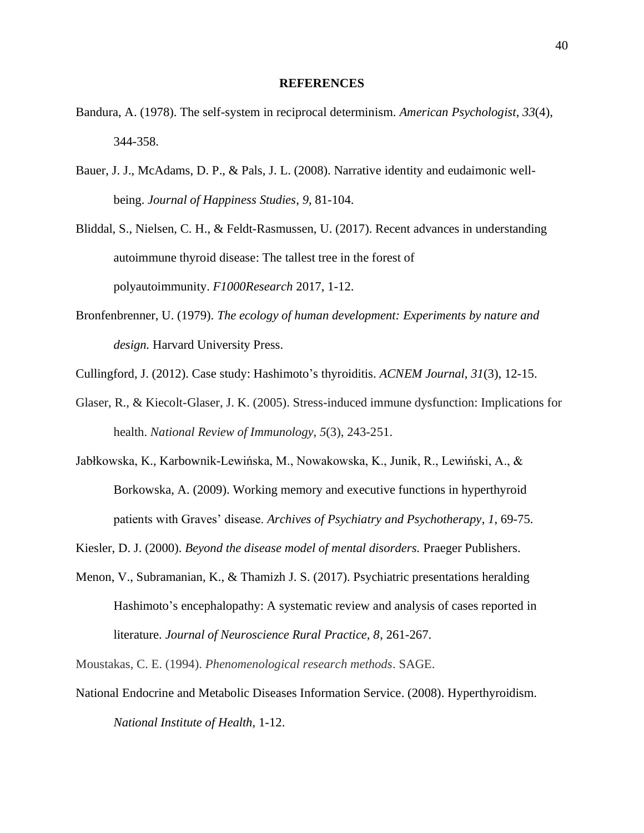#### **REFERENCES**

- Bandura, A. (1978). The self-system in reciprocal determinism. *American Psychologist*, *33*(4), 344-358.
- Bauer, J. J., McAdams, D. P., & Pals, J. L. (2008). Narrative identity and eudaimonic wellbeing. *Journal of Happiness Studies*, *9*, 81-104.

Bliddal, S., Nielsen, C. H., & Feldt-Rasmussen, U. (2017). Recent advances in understanding autoimmune thyroid disease: The tallest tree in the forest of polyautoimmunity. *F1000Research* 2017, 1-12.

- Bronfenbrenner, U. (1979). *The ecology of human development: Experiments by nature and design.* Harvard University Press.
- Cullingford, J. (2012). Case study: Hashimoto's thyroiditis. *ACNEM Journal*, *31*(3), 12-15.
- Glaser, R., & Kiecolt-Glaser, J. K. (2005). Stress-induced immune dysfunction: Implications for health. *National Review of Immunology, 5*(3), 243-251.
- Jabłkowska, K., Karbownik-Lewińska, M., Nowakowska, K., Junik, R., Lewiński, A., & Borkowska, A. (2009). Working memory and executive functions in hyperthyroid patients with Graves' disease. *Archives of Psychiatry and Psychotherapy*, *1*, 69-75.
- Kiesler, D. J. (2000). *Beyond the disease model of mental disorders.* Praeger Publishers.
- Menon, V., Subramanian, K., & Thamizh J. S. (2017). Psychiatric presentations heralding Hashimoto's encephalopathy: A systematic review and analysis of cases reported in literature. *Journal of Neuroscience Rural Practice, 8*, 261-267.

Moustakas, C. E. (1994). *Phenomenological research methods*. SAGE.

National Endocrine and Metabolic Diseases Information Service. (2008). Hyperthyroidism. *National Institute of Health,* 1-12.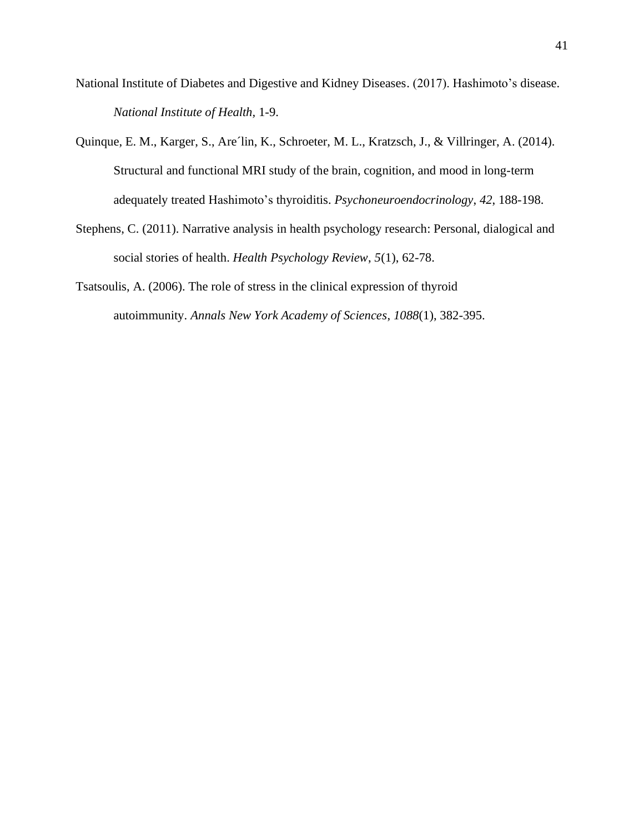- National Institute of Diabetes and Digestive and Kidney Diseases. (2017). Hashimoto's disease. *National Institute of Health,* 1-9.
- Quinque, E. M., Karger, S., Are´lin, K., Schroeter, M. L., Kratzsch, J., & Villringer, A. (2014). Structural and functional MRI study of the brain, cognition, and mood in long-term adequately treated Hashimoto's thyroiditis. *Psychoneuroendocrinology*, *42*, 188-198.
- Stephens, C. (2011). Narrative analysis in health psychology research: Personal, dialogical and social stories of health. *Health Psychology Review*, *5*(1), 62-78.
- Tsatsoulis, A. (2006). The role of stress in the clinical expression of thyroid autoimmunity. *Annals New York Academy of Sciences*, *1088*(1), 382-395.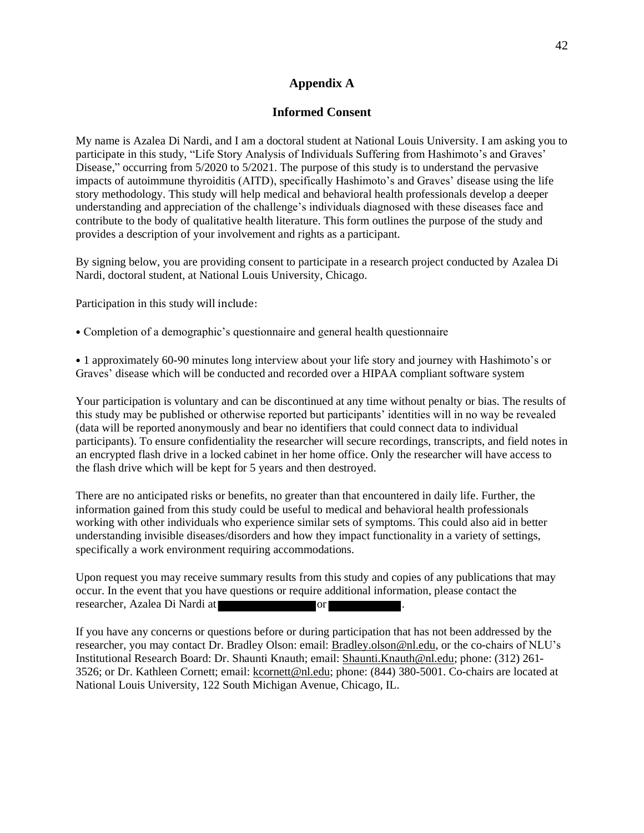### **Appendix A**

#### **Informed Consent**

My name is Azalea Di Nardi, and I am a doctoral student at National Louis University. I am asking you to participate in this study, "Life Story Analysis of Individuals Suffering from Hashimoto's and Graves' Disease," occurring from 5/2020 to 5/2021. The purpose of this study is to understand the pervasive impacts of autoimmune thyroiditis (AITD), specifically Hashimoto's and Graves' disease using the life story methodology. This study will help medical and behavioral health professionals develop a deeper understanding and appreciation of the challenge's individuals diagnosed with these diseases face and contribute to the body of qualitative health literature. This form outlines the purpose of the study and provides a description of your involvement and rights as a participant.

By signing below, you are providing consent to participate in a research project conducted by Azalea Di Nardi, doctoral student, at National Louis University, Chicago.

Participation in this study will include:

• Completion of a demographic's questionnaire and general health questionnaire

• 1 approximately 60-90 minutes long interview about your life story and journey with Hashimoto's or Graves' disease which will be conducted and recorded over a HIPAA compliant software system

Your participation is voluntary and can be discontinued at any time without penalty or bias. The results of this study may be published or otherwise reported but participants' identities will in no way be revealed (data will be reported anonymously and bear no identifiers that could connect data to individual participants). To ensure confidentiality the researcher will secure recordings, transcripts, and field notes in an encrypted flash drive in a locked cabinet in her home office. Only the researcher will have access to the flash drive which will be kept for 5 years and then destroyed.

There are no anticipated risks or benefits, no greater than that encountered in daily life. Further, the information gained from this study could be useful to medical and behavioral health professionals working with other individuals who experience similar sets of symptoms. This could also aid in better understanding invisible diseases/disorders and how they impact functionality in a variety of settings, specifically a work environment requiring accommodations.

Upon request you may receive summary results from this study and copies of any publications that may occur. In the event that you have questions or require additional information, please contact the researcher, Azalea Di Nardi at or .

If you have any concerns or questions before or during participation that has not been addressed by the researcher, you may contact Dr. Bradley Olson: email: Bradley.olson@nl.edu, or the co-chairs of NLU's Institutional Research Board: Dr. Shaunti Knauth; email: Shaunti.Knauth@nl.edu; phone: (312) 261- 3526; or Dr. Kathleen Cornett; email: kcornett@nl.edu; phone: (844) 380-5001. Co-chairs are located at National Louis University, 122 South Michigan Avenue, Chicago, IL.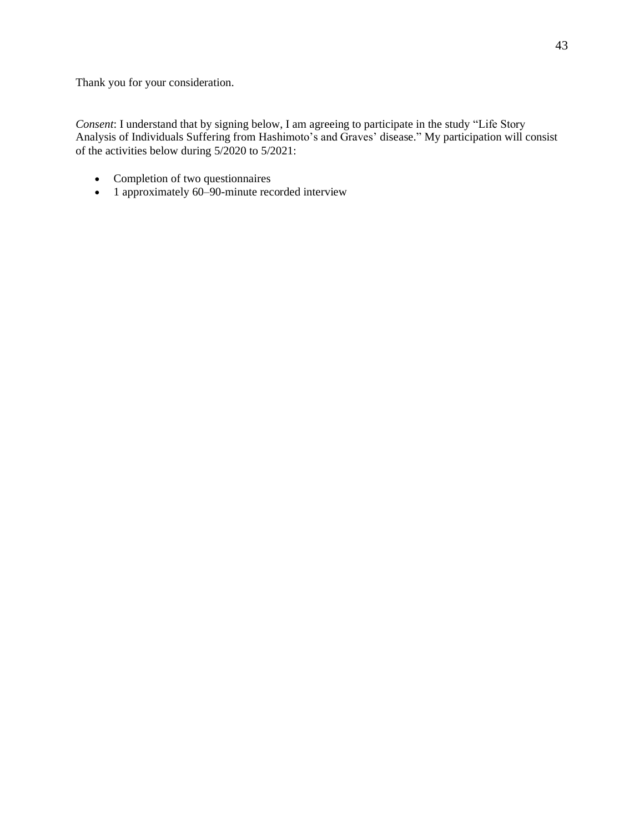Thank you for your consideration.

*Consent*: I understand that by signing below, I am agreeing to participate in the study "Life Story Analysis of Individuals Suffering from Hashimoto's and Graves' disease." My participation will consist of the activities below during 5/2020 to 5/2021:

- Completion of two questionnaires
- 1 approximately 60–90-minute recorded interview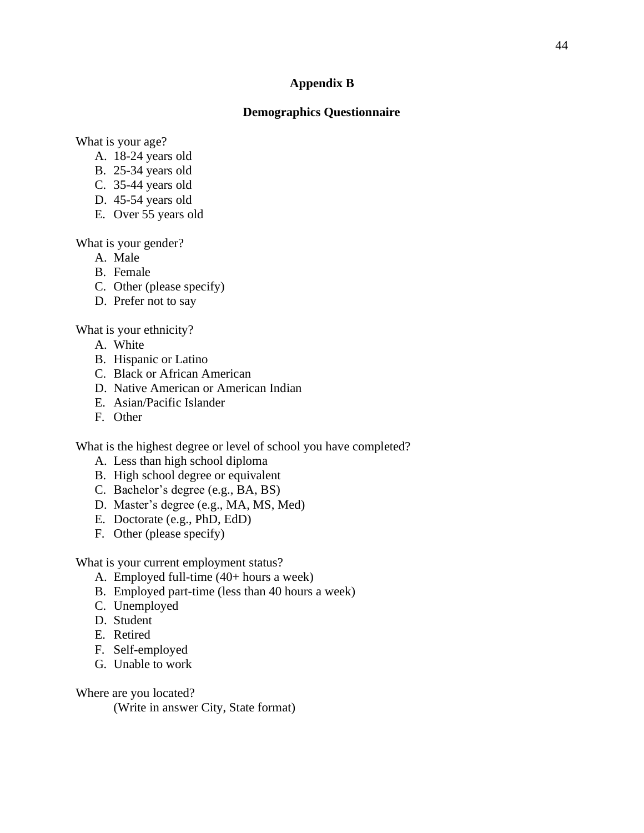### **Appendix B**

### **Demographics Questionnaire**

What is your age?

- A. 18-24 years old
- B. 25-34 years old
- C. 35-44 years old
- D. 45-54 years old
- E. Over 55 years old

What is your gender?

- A. Male
- B. Female
- C. Other (please specify)
- D. Prefer not to say

What is your ethnicity?

- A. White
- B. Hispanic or Latino
- C. Black or African American
- D. Native American or American Indian
- E. Asian/Pacific Islander
- F. Other

What is the highest degree or level of school you have completed?

- A. Less than high school diploma
- B. High school degree or equivalent
- C. Bachelor's degree (e.g., BA, BS)
- D. Master's degree (e.g., MA, MS, Med)
- E. Doctorate (e.g., PhD, EdD)
- F. Other (please specify)

What is your current employment status?

- A. Employed full-time (40+ hours a week)
- B. Employed part-time (less than 40 hours a week)
- C. Unemployed
- D. Student
- E. Retired
- F. Self-employed
- G. Unable to work

Where are you located?

(Write in answer City, State format)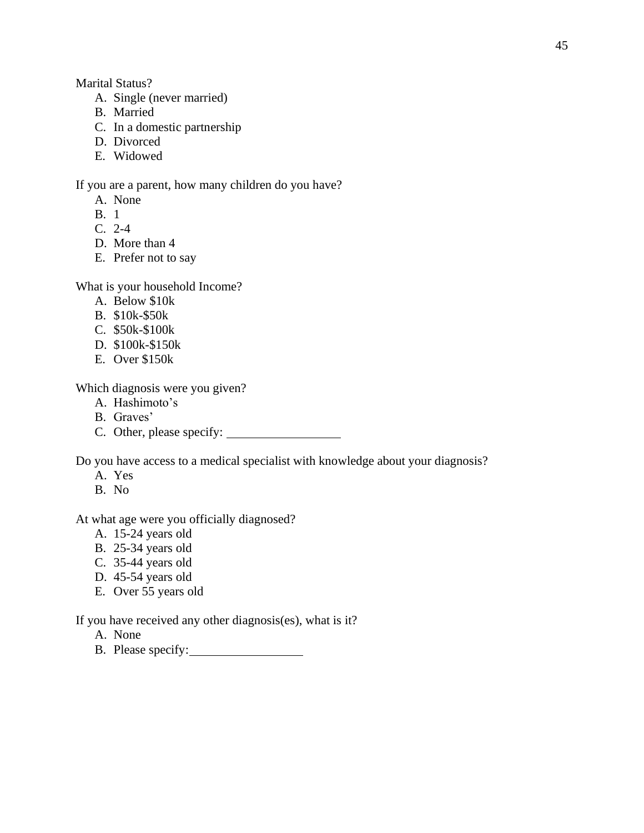Marital Status?

- A. Single (never married)
- B. Married
- C. In a domestic partnership
- D. Divorced
- E. Widowed

If you are a parent, how many children do you have?

- A. None
- B. 1
- C. 2-4
- D. More than 4
- E. Prefer not to say

What is your household Income?

- A. Below \$10k
- B. \$10k-\$50k
- C. \$50k-\$100k
- D. \$100k-\$150k
- E. Over \$150k

Which diagnosis were you given?

- A. Hashimoto's
- B. Graves'
- C. Other, please specify:

Do you have access to a medical specialist with knowledge about your diagnosis?

- A. Yes
- B. No

At what age were you officially diagnosed?

- A. 15-24 years old
- B. 25-34 years old
- C. 35-44 years old
- D. 45-54 years old
- E. Over 55 years old

If you have received any other diagnosis(es), what is it?

- A. None
- B. Please specify: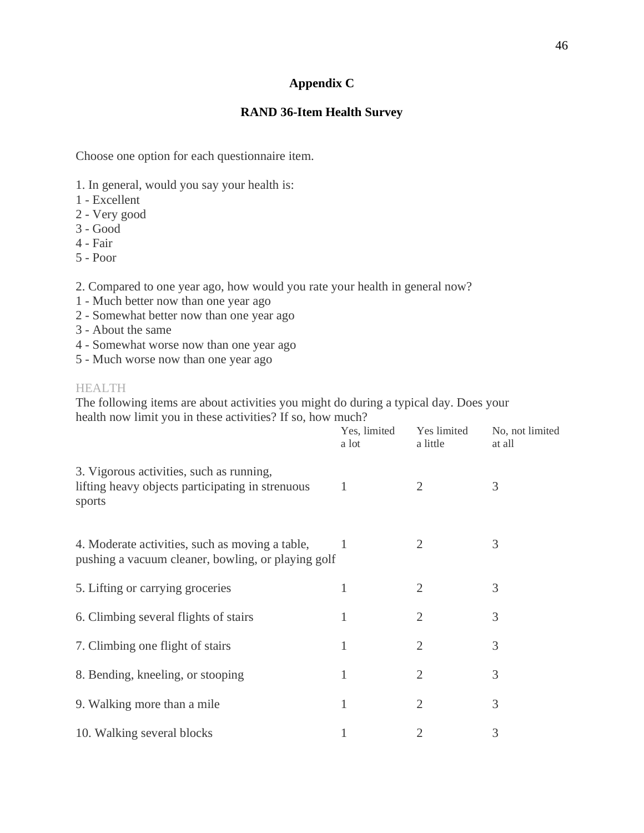# **Appendix C**

# **RAND 36-Item Health Survey**

Choose one option for each questionnaire item.

- 1. In general, would you say your health is:
- 1 Excellent
- 2 Very good
- 3 Good
- 4 Fair
- 5 Poor

2. Compared to one year ago, how would you rate your health in general now?

- 1 Much better now than one year ago
- 2 Somewhat better now than one year ago
- 3 About the same
- 4 Somewhat worse now than one year ago
- 5 Much worse now than one year ago

### HEALTH

The following items are about activities you might do during a typical day. Does your health now limit you in these activities? If so, how much?  $Y = 1! \dots 14 = 1$   $N_0$  not limited

|                                                                                                        | Yes, limited<br>a lot | Yes limited<br>a little | No, not limited<br>at all |
|--------------------------------------------------------------------------------------------------------|-----------------------|-------------------------|---------------------------|
| 3. Vigorous activities, such as running,<br>lifting heavy objects participating in strenuous<br>sports | 1                     | $\overline{2}$          | 3                         |
| 4. Moderate activities, such as moving a table,<br>pushing a vacuum cleaner, bowling, or playing golf  |                       | 2                       | 3                         |
| 5. Lifting or carrying groceries                                                                       | 1                     | $\overline{2}$          | 3                         |
| 6. Climbing several flights of stairs                                                                  |                       | $\overline{2}$          | 3                         |
| 7. Climbing one flight of stairs                                                                       | 1                     | $\overline{2}$          | 3                         |
| 8. Bending, kneeling, or stooping                                                                      | 1                     | $\overline{2}$          | 3                         |
| 9. Walking more than a mile                                                                            | 1                     | $\overline{2}$          | 3                         |
| 10. Walking several blocks                                                                             |                       | 2                       | 3                         |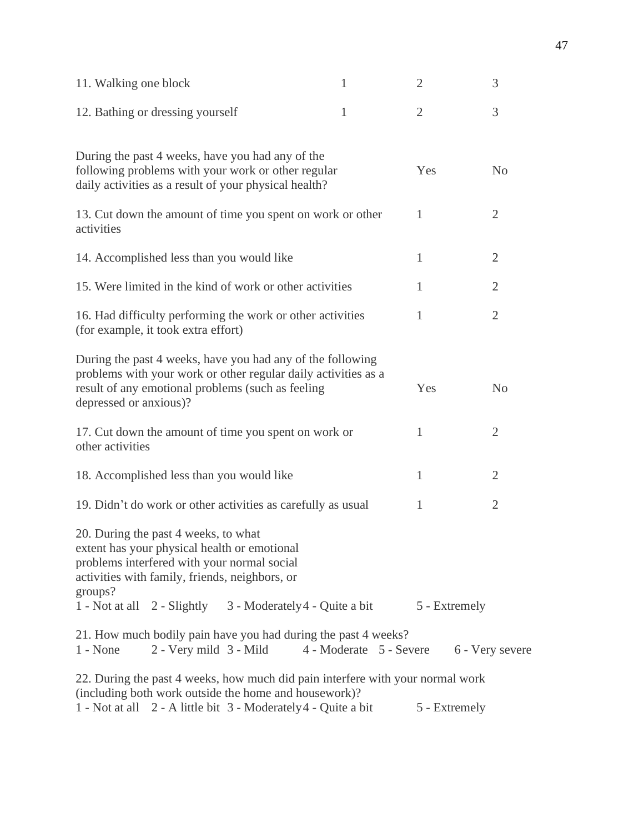| 11. Walking one block  |                                                                                                                                                                                       | 1 | $\overline{2}$                          | 3              |
|------------------------|---------------------------------------------------------------------------------------------------------------------------------------------------------------------------------------|---|-----------------------------------------|----------------|
|                        | 12. Bathing or dressing yourself                                                                                                                                                      | 1 | $\overline{2}$                          | 3              |
|                        | During the past 4 weeks, have you had any of the<br>following problems with your work or other regular<br>daily activities as a result of your physical health?                       |   | Yes                                     | N <sub>o</sub> |
| activities             | 13. Cut down the amount of time you spent on work or other                                                                                                                            |   | 1                                       | $\overline{2}$ |
|                        | 14. Accomplished less than you would like                                                                                                                                             |   | 1                                       | $\overline{2}$ |
|                        | 15. Were limited in the kind of work or other activities                                                                                                                              |   | 1                                       | $\overline{2}$ |
|                        | 16. Had difficulty performing the work or other activities<br>(for example, it took extra effort)                                                                                     |   | 1                                       | $\overline{2}$ |
| depressed or anxious)? | During the past 4 weeks, have you had any of the following<br>problems with your work or other regular daily activities as a<br>result of any emotional problems (such as feeling     |   | Yes                                     | N <sub>o</sub> |
| other activities       | 17. Cut down the amount of time you spent on work or                                                                                                                                  |   | 1                                       | $\overline{2}$ |
|                        | 18. Accomplished less than you would like                                                                                                                                             |   | 1                                       | $\overline{2}$ |
|                        | 19. Didn't do work or other activities as carefully as usual                                                                                                                          |   | 1                                       | $\overline{2}$ |
| groups?                | 20. During the past 4 weeks, to what<br>extent has your physical health or emotional<br>problems interfered with your normal social<br>activities with family, friends, neighbors, or |   |                                         |                |
|                        | 1 - Not at all 2 - Slightly 3 - Moderately 4 - Quite a bit                                                                                                                            |   | 5 - Extremely                           |                |
| $1 - None$             | 21. How much bodily pain have you had during the past 4 weeks?<br>2 - Very mild 3 - Mild                                                                                              |   | 4 - Moderate 5 - Severe 6 - Very severe |                |
|                        | 22. During the past 4 weeks, how much did pain interfere with your normal work<br>(including both work outside the home and housework)?                                               |   |                                         |                |
|                        | 1 - Not at all 2 - A little bit 3 - Moderately 4 - Quite a bit                                                                                                                        |   | 5 - Extremely                           |                |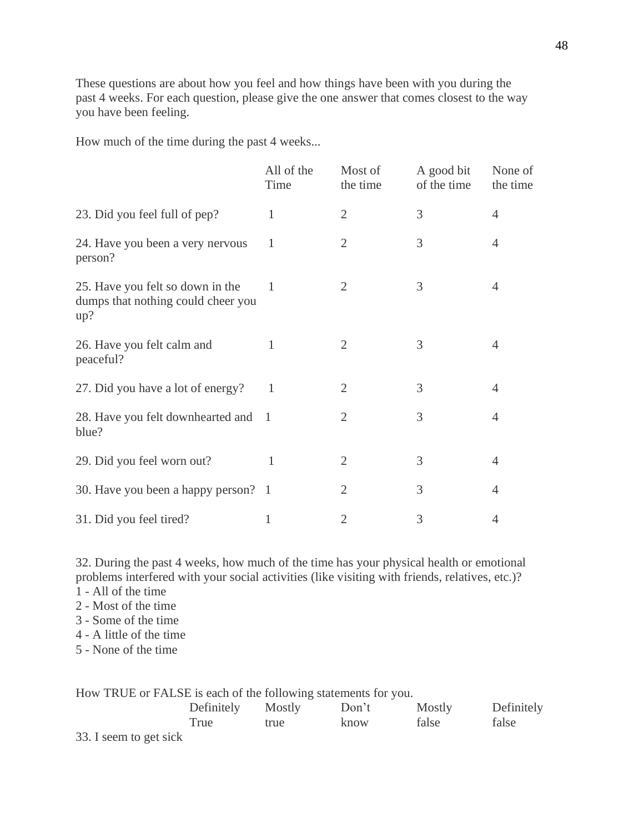These questions are about how you feel and how things have been with you during the past 4 weeks. For each question, please give the one answer that comes closest to the way you have been feeling.

How much of the time during the past 4 weeks...

|                                                                               | All of the<br>Time | Most of<br>the time | A good bit<br>of the time | None of<br>the time |
|-------------------------------------------------------------------------------|--------------------|---------------------|---------------------------|---------------------|
| 23. Did you feel full of pep?                                                 | 1                  | $\overline{2}$      | 3                         | 4                   |
| 24. Have you been a very nervous<br>person?                                   | 1                  | 2                   | 3                         | 4                   |
| 25. Have you felt so down in the<br>dumps that nothing could cheer you<br>up? | -1                 | $\overline{2}$      | 3                         | 4                   |
| 26. Have you felt calm and<br>peaceful?                                       | 1                  | $\overline{2}$      | 3                         | 4                   |
| 27. Did you have a lot of energy?                                             | 1                  | 2                   | 3                         | $\overline{4}$      |
| 28. Have you felt downhearted and<br>blue?                                    | $\mathbf{1}$       | 2                   | 3                         | 4                   |
| 29. Did you feel worn out?                                                    | 1                  | $\mathfrak{2}$      | 3                         | $\overline{4}$      |
| 30. Have you been a happy person? 1                                           |                    | $\overline{2}$      | 3                         | $\overline{4}$      |
| 31. Did you feel tired?                                                       | 1                  | 2                   | 3                         | 4                   |

32. During the past 4 weeks, how much of the time has your physical health or emotional problems interfered with your social activities (like visiting with friends, relatives, etc.)?

- 1 All of the time
- 2 Most of the time
- 3 Some of the time
- 4 A little of the time
- 5 None of the time

| How TRUE or FALSE is each of the following statements for you. |                   |      |       |        |            |
|----------------------------------------------------------------|-------------------|------|-------|--------|------------|
|                                                                | Definitely Mostly |      | Don't | Mostly | Definitely |
|                                                                | True              | true | know  | false  | false      |
| 33. I seem to get sick                                         |                   |      |       |        |            |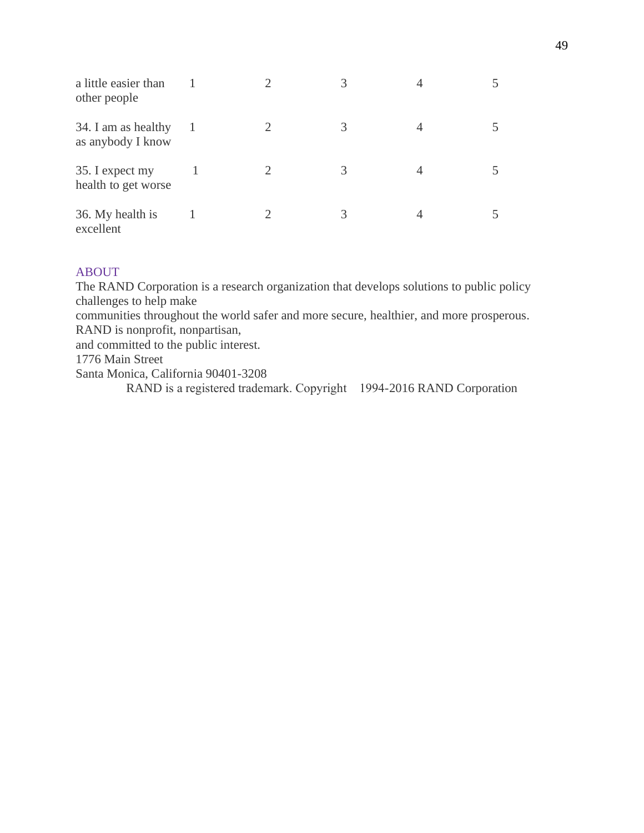| a little easier than<br>other people     |  |   |  |
|------------------------------------------|--|---|--|
| 34. I am as healthy<br>as anybody I know |  |   |  |
| 35. I expect my<br>health to get worse   |  | 3 |  |
| 36. My health is<br>excellent            |  |   |  |

# ABOUT

The RAND Corporation is a research organization that develops solutions to public policy challenges to help make communities throughout the world safer and more secure, healthier, and more prosperous. RAND is nonprofit, nonpartisan, and committed to the public interest. 1776 Main Street Santa Monica, California 90401-3208 RAND is a registered trademark. Copyright 1994-2016 RAND Corporation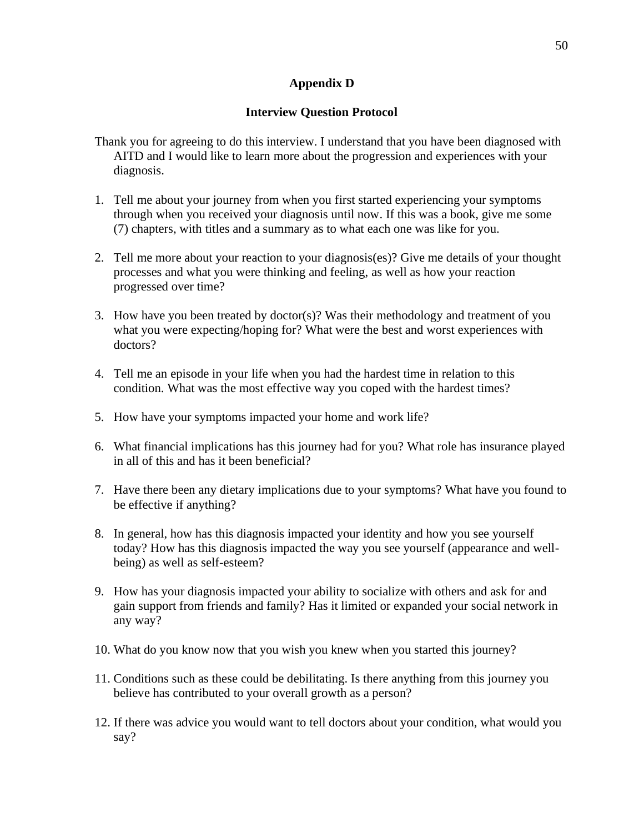# **Appendix D**

# **Interview Question Protocol**

- Thank you for agreeing to do this interview. I understand that you have been diagnosed with AITD and I would like to learn more about the progression and experiences with your diagnosis.
- 1. Tell me about your journey from when you first started experiencing your symptoms through when you received your diagnosis until now. If this was a book, give me some (7) chapters, with titles and a summary as to what each one was like for you.
- 2. Tell me more about your reaction to your diagnosis(es)? Give me details of your thought processes and what you were thinking and feeling, as well as how your reaction progressed over time?
- 3. How have you been treated by doctor(s)? Was their methodology and treatment of you what you were expecting/hoping for? What were the best and worst experiences with doctors?
- 4. Tell me an episode in your life when you had the hardest time in relation to this condition. What was the most effective way you coped with the hardest times?
- 5. How have your symptoms impacted your home and work life?
- 6. What financial implications has this journey had for you? What role has insurance played in all of this and has it been beneficial?
- 7. Have there been any dietary implications due to your symptoms? What have you found to be effective if anything?
- 8. In general, how has this diagnosis impacted your identity and how you see yourself today? How has this diagnosis impacted the way you see yourself (appearance and wellbeing) as well as self-esteem?
- 9. How has your diagnosis impacted your ability to socialize with others and ask for and gain support from friends and family? Has it limited or expanded your social network in any way?
- 10. What do you know now that you wish you knew when you started this journey?
- 11. Conditions such as these could be debilitating. Is there anything from this journey you believe has contributed to your overall growth as a person?
- 12. If there was advice you would want to tell doctors about your condition, what would you say?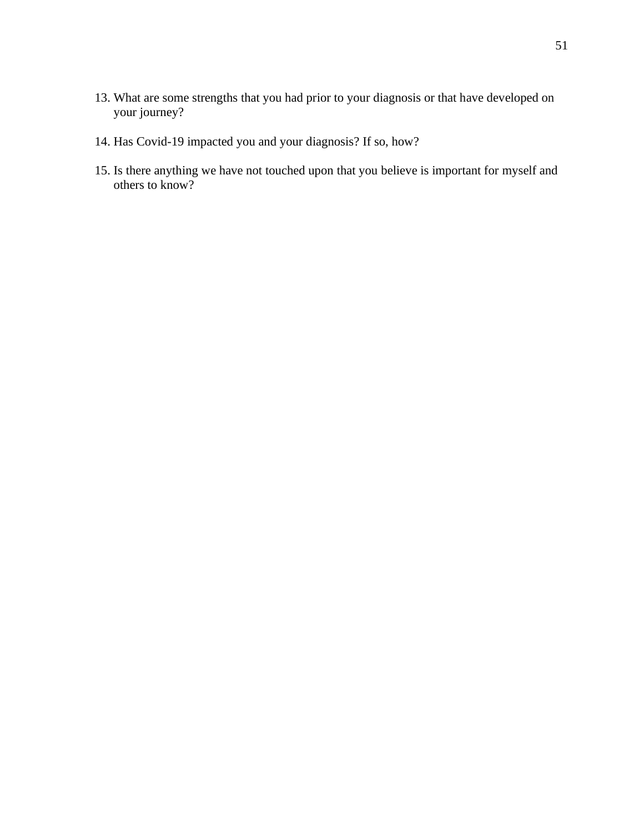- 13. What are some strengths that you had prior to your diagnosis or that have developed on your journey?
- 14. Has Covid-19 impacted you and your diagnosis? If so, how?
- 15. Is there anything we have not touched upon that you believe is important for myself and others to know?